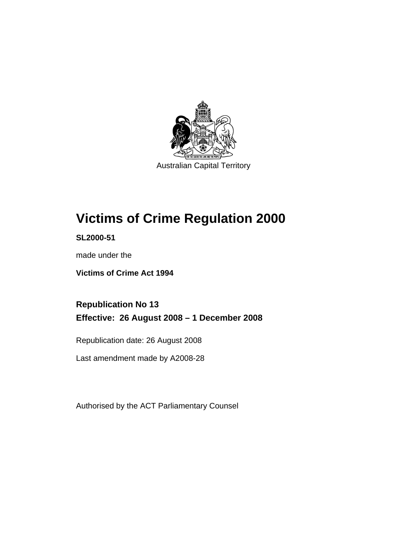

Australian Capital Territory

# **[Victims of Crime Regulation 2000](#page-6-0)**

**SL2000-51** 

made under the

**[Victims of Crime Act 1994](#page-6-0)** 

**Republication No 13 Effective: 26 August 2008 – 1 December 2008** 

Republication date: 26 August 2008

Last amendment made by A2008-28

Authorised by the ACT Parliamentary Counsel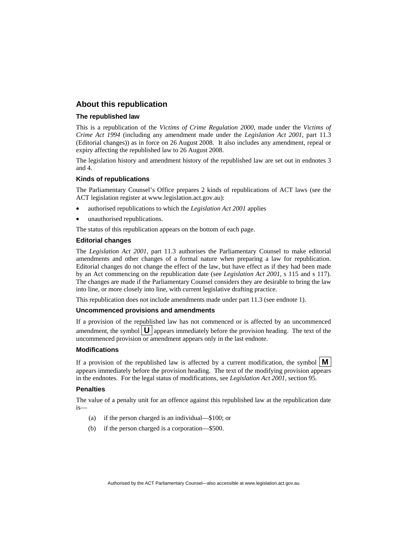#### **About this republication**

#### **The republished law**

This is a republication of the *Victims of Crime Regulation 2000*, made under the *[Victims of](#page-6-0)  [Crime Act 1994](#page-6-0)* (including any amendment made under the *Legislation Act 2001*, part 11.3 (Editorial changes)) as in force on 26 August 2008*.* It also includes any amendment, repeal or expiry affecting the republished law to 26 August 2008.

The legislation history and amendment history of the republished law are set out in endnotes 3 and 4.

#### **Kinds of republications**

The Parliamentary Counsel's Office prepares 2 kinds of republications of ACT laws (see the ACT legislation register at www.legislation.act.gov.au):

- authorised republications to which the *Legislation Act 2001* applies
- unauthorised republications.

The status of this republication appears on the bottom of each page.

#### **Editorial changes**

The *Legislation Act 2001*, part 11.3 authorises the Parliamentary Counsel to make editorial amendments and other changes of a formal nature when preparing a law for republication. Editorial changes do not change the effect of the law, but have effect as if they had been made by an Act commencing on the republication date (see *Legislation Act 2001*, s 115 and s 117). The changes are made if the Parliamentary Counsel considers they are desirable to bring the law into line, or more closely into line, with current legislative drafting practice.

This republication does not include amendments made under part 11.3 (see endnote 1).

#### **Uncommenced provisions and amendments**

If a provision of the republished law has not commenced or is affected by an uncommenced amendment, the symbol  $\mathbf{U}$  appears immediately before the provision heading. The text of the uncommenced provision  $\overline{or}$  amendment appears only in the last endnote.

#### **Modifications**

If a provision of the republished law is affected by a current modification, the symbol  $\mathbf{M}$ appears immediately before the provision heading. The text of the modifying provision appears in the endnotes. For the legal status of modifications, see *Legislation Act 2001*, section 95.

#### **Penalties**

The value of a penalty unit for an offence against this republished law at the republication date is—

- (a) if the person charged is an individual—\$100; or
- (b) if the person charged is a corporation—\$500.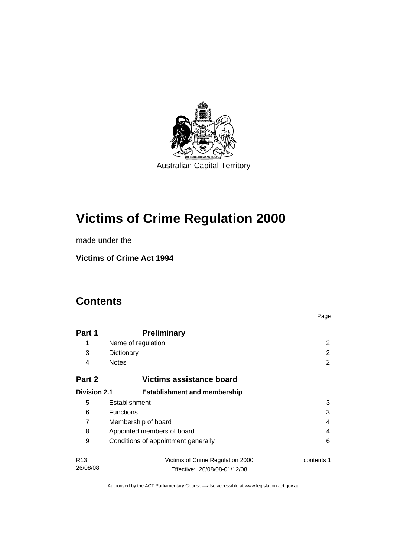

# **[Victims of Crime Regulation 2000](#page-6-0)**

made under the

**[Victims of Crime Act 1994](#page-6-0)** 

# **Contents**

|                     |                                     | Page       |
|---------------------|-------------------------------------|------------|
| Part 1              | <b>Preliminary</b>                  |            |
| 1                   | Name of regulation                  | 2          |
| 3                   | Dictionary                          | 2          |
| 4                   | <b>Notes</b>                        | 2          |
| Part 2              | Victims assistance board            |            |
| <b>Division 2.1</b> | <b>Establishment and membership</b> |            |
| 5                   | Establishment                       | 3          |
| 6                   | <b>Functions</b>                    | 3          |
| 7                   | Membership of board<br>4            |            |
| 8                   | Appointed members of board<br>4     |            |
| 9                   | Conditions of appointment generally | 6          |
| R <sub>13</sub>     | Victims of Crime Regulation 2000    | contents 1 |
| 26/08/08            | Effective: 26/08/08-01/12/08        |            |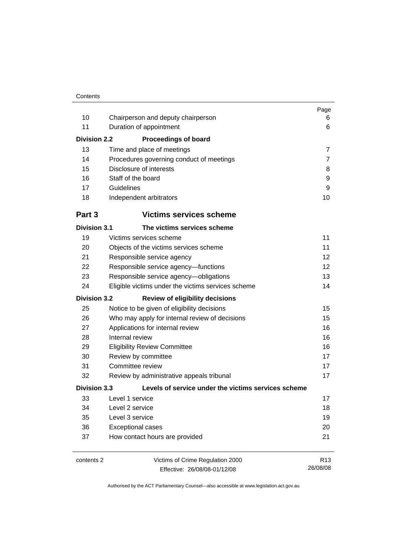| 10                  | Chairperson and deputy chairperson                  | Page<br>6       |
|---------------------|-----------------------------------------------------|-----------------|
| 11                  | Duration of appointment                             | 6               |
| Division 2.2        | <b>Proceedings of board</b>                         |                 |
| 13                  | Time and place of meetings                          | $\overline{7}$  |
| 14                  | Procedures governing conduct of meetings            | $\overline{7}$  |
| 15                  | Disclosure of interests                             | 8               |
| 16                  | Staff of the board                                  | 9               |
| 17                  | Guidelines                                          | 9               |
| 18                  | Independent arbitrators                             | 10              |
| Part 3              | <b>Victims services scheme</b>                      |                 |
| <b>Division 3.1</b> | The victims services scheme                         |                 |
| 19                  | Victims services scheme                             | 11              |
| 20                  | Objects of the victims services scheme              | 11              |
| 21                  | Responsible service agency                          | 12              |
| 22                  | Responsible service agency-functions                | 12              |
| 23                  | Responsible service agency-obligations              | 13              |
| 24                  | Eligible victims under the victims services scheme  | 14              |
| <b>Division 3.2</b> | <b>Review of eligibility decisions</b>              |                 |
| 25                  | Notice to be given of eligibility decisions         | 15              |
| 26                  | Who may apply for internal review of decisions      | 15              |
| 27                  | Applications for internal review                    | 16              |
| 28                  | Internal review                                     | 16              |
| 29                  | <b>Eligibility Review Committee</b>                 | 16              |
| 30                  | Review by committee                                 | 17              |
| 31                  | Committee review                                    | 17              |
| 32                  | Review by administrative appeals tribunal           | 17              |
| <b>Division 3.3</b> | Levels of service under the victims services scheme |                 |
| 33                  | Level 1 service                                     | 17              |
| 34                  | Level 2 service                                     | 18              |
| 35                  | Level 3 service                                     | 19              |
| 36                  | <b>Exceptional cases</b>                            | 20              |
| 37                  | How contact hours are provided                      | 21              |
| contents 2          | Victims of Crime Regulation 2000                    | R <sub>13</sub> |
|                     | Effective: 26/08/08-01/12/08                        | 26/08/08        |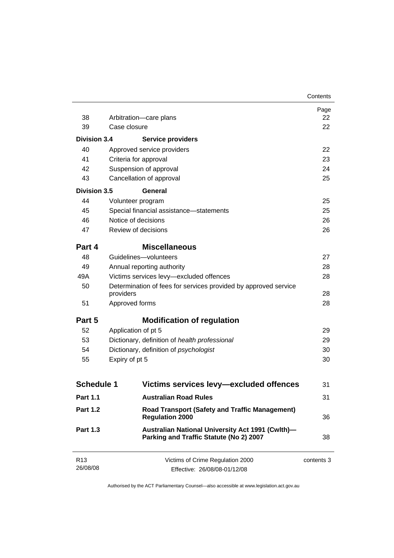|                             |                                                                                             | Contents   |
|-----------------------------|---------------------------------------------------------------------------------------------|------------|
|                             |                                                                                             | Page       |
| 38                          | Arbitration-care plans                                                                      | 22         |
| 39                          | Case closure                                                                                | 22         |
| <b>Division 3.4</b>         | <b>Service providers</b>                                                                    |            |
| 40                          | Approved service providers                                                                  | 22         |
| 41                          | Criteria for approval                                                                       | 23         |
| 42                          | Suspension of approval                                                                      | 24         |
| 43                          | Cancellation of approval                                                                    | 25         |
| <b>Division 3.5</b>         | <b>General</b>                                                                              |            |
| 44                          | Volunteer program                                                                           | 25         |
| 45                          | Special financial assistance-statements                                                     | 25         |
| 46                          | Notice of decisions                                                                         | 26         |
| 47                          | Review of decisions                                                                         | 26         |
| Part 4                      | <b>Miscellaneous</b>                                                                        |            |
| 48                          | Guidelines-volunteers                                                                       | 27         |
| 49                          | Annual reporting authority                                                                  | 28         |
| 49A                         | Victims services levy-excluded offences                                                     | 28         |
| 50                          | Determination of fees for services provided by approved service<br>providers                | 28         |
| 51                          | Approved forms                                                                              | 28         |
| Part 5                      | <b>Modification of regulation</b>                                                           |            |
| 52                          | Application of pt 5                                                                         | 29         |
| 53                          | Dictionary, definition of health professional                                               | 29         |
| 54                          | Dictionary, definition of psychologist                                                      | 30         |
| 55                          | Expiry of pt 5                                                                              | 30         |
| <b>Schedule 1</b>           | Victims services levy—excluded offences                                                     | 31         |
|                             |                                                                                             |            |
| <b>Part 1.1</b>             | <b>Australian Road Rules</b>                                                                | 31         |
| <b>Part 1.2</b>             | <b>Road Transport (Safety and Traffic Management)</b><br><b>Regulation 2000</b>             | 36         |
| <b>Part 1.3</b>             | Australian National University Act 1991 (Cwlth)-<br>Parking and Traffic Statute (No 2) 2007 | 38         |
| R <sub>13</sub><br>26/08/08 | Victims of Crime Regulation 2000<br>Effective: 26/08/08-01/12/08                            | contents 3 |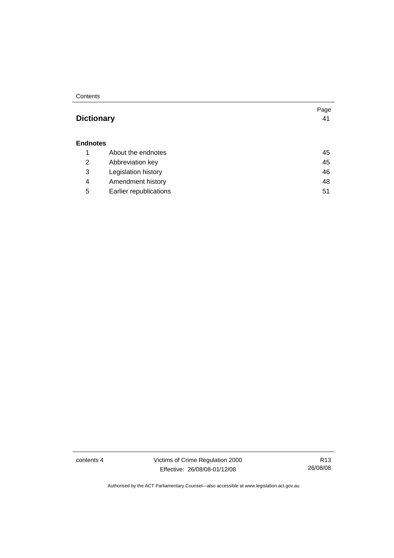**Contents** 

# **Dictionary** [41](#page-46-0)

#### **Endnotes**

|   | About the endnotes     | 45 |
|---|------------------------|----|
| 2 | Abbreviation key       | 45 |
| 3 | Legislation history    | 46 |
| 4 | Amendment history      | 48 |
| 5 | Earlier republications | 51 |

contents 4 Victims of Crime Regulation 2000 Effective: 26/08/08-01/12/08

R13 26/08/08

Page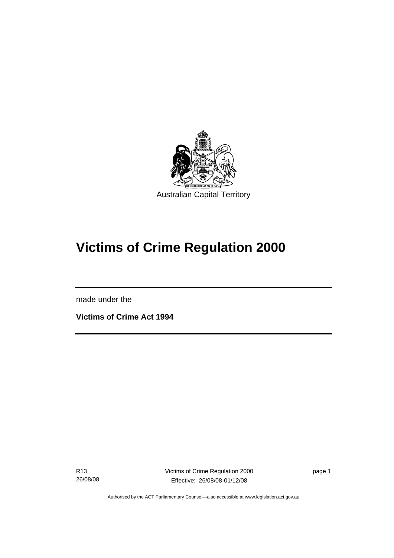<span id="page-6-0"></span>

# **Victims of Crime Regulation 2000**

made under the

I

**Victims of Crime Act 1994** 

R13 26/08/08 Victims of Crime Regulation 2000 Effective: 26/08/08-01/12/08

page 1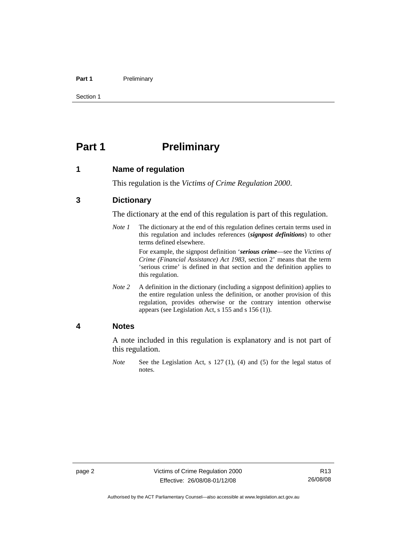#### <span id="page-7-0"></span>Part 1 **Preliminary**

Section 1

# **Part 1** Preliminary

#### **1 Name of regulation**

This regulation is the *Victims of Crime Regulation 2000*.

#### **3 Dictionary**

The dictionary at the end of this regulation is part of this regulation.

*Note 1* The dictionary at the end of this regulation defines certain terms used in this regulation and includes references (*signpost definitions*) to other terms defined elsewhere.

> For example, the signpost definition '*serious crime*—see the *Victims of Crime (Financial Assistance) Act 1983*, section 2' means that the term 'serious crime' is defined in that section and the definition applies to this regulation.

*Note 2* A definition in the dictionary (including a signpost definition) applies to the entire regulation unless the definition, or another provision of this regulation, provides otherwise or the contrary intention otherwise appears (see Legislation Act, s 155 and s 156 (1)).

#### **4 Notes**

A note included in this regulation is explanatory and is not part of this regulation.

*Note* See the Legislation Act, s 127 (1), (4) and (5) for the legal status of notes.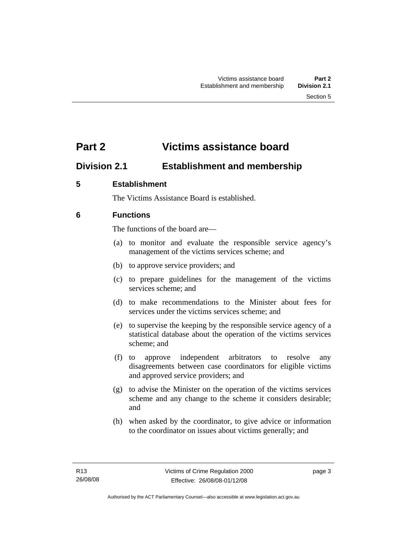# <span id="page-8-0"></span>**Part 2 Victims assistance board**

# **Division 2.1 Establishment and membership**

# **5 Establishment**

The Victims Assistance Board is established.

# **6 Functions**

The functions of the board are—

- (a) to monitor and evaluate the responsible service agency's management of the victims services scheme; and
- (b) to approve service providers; and
- (c) to prepare guidelines for the management of the victims services scheme; and
- (d) to make recommendations to the Minister about fees for services under the victims services scheme; and
- (e) to supervise the keeping by the responsible service agency of a statistical database about the operation of the victims services scheme; and
- (f) to approve independent arbitrators to resolve any disagreements between case coordinators for eligible victims and approved service providers; and
- (g) to advise the Minister on the operation of the victims services scheme and any change to the scheme it considers desirable; and
- (h) when asked by the coordinator, to give advice or information to the coordinator on issues about victims generally; and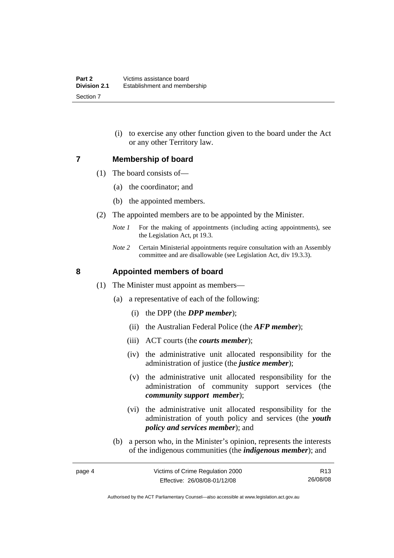(i) to exercise any other function given to the board under the Act or any other Territory law.

#### <span id="page-9-0"></span>**7 Membership of board**

- (1) The board consists of—
	- (a) the coordinator; and
	- (b) the appointed members.
- (2) The appointed members are to be appointed by the Minister.
	- *Note 1* For the making of appointments (including acting appointments), see the Legislation Act, pt 19.3.
	- *Note 2* Certain Ministerial appointments require consultation with an Assembly committee and are disallowable (see Legislation Act, div 19.3.3).

### **8 Appointed members of board**

- (1) The Minister must appoint as members—
	- (a) a representative of each of the following:
		- (i) the DPP (the *DPP member*);
		- (ii) the Australian Federal Police (the *AFP member*);
		- (iii) ACT courts (the *courts member*);
		- (iv) the administrative unit allocated responsibility for the administration of justice (the *justice member*);
		- (v) the administrative unit allocated responsibility for the administration of community support services (the *community support member*);
		- (vi) the administrative unit allocated responsibility for the administration of youth policy and services (the *youth policy and services member*); and
	- (b) a person who, in the Minister's opinion, represents the interests of the indigenous communities (the *indigenous member*); and

Authorised by the ACT Parliamentary Counsel—also accessible at www.legislation.act.gov.au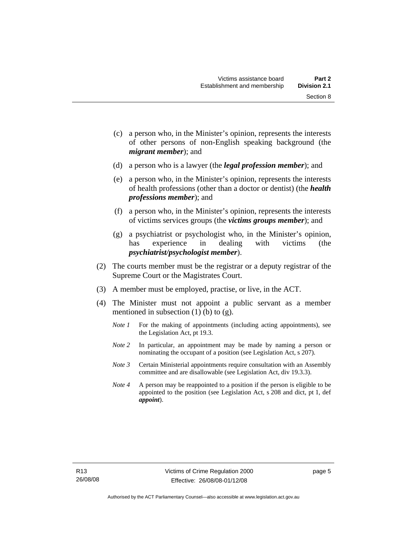Section 8

- (c) a person who, in the Minister's opinion, represents the interests of other persons of non-English speaking background (the
- (d) a person who is a lawyer (the *legal profession member*); and

*migrant member*); and

- (e) a person who, in the Minister's opinion, represents the interests of health professions (other than a doctor or dentist) (the *health professions member*); and
- (f) a person who, in the Minister's opinion, represents the interests of victims services groups (the *victims groups member*); and
- (g) a psychiatrist or psychologist who, in the Minister's opinion, has experience in dealing with victims (the *psychiatrist/psychologist member*).
- (2) The courts member must be the registrar or a deputy registrar of the Supreme Court or the Magistrates Court.
- (3) A member must be employed, practise, or live, in the ACT.
- (4) The Minister must not appoint a public servant as a member mentioned in subsection  $(1)$  (b) to  $(g)$ .
	- *Note 1* For the making of appointments (including acting appointments), see the Legislation Act, pt 19.3.
	- *Note 2* In particular, an appointment may be made by naming a person or nominating the occupant of a position (see Legislation Act, s 207).
	- *Note 3* Certain Ministerial appointments require consultation with an Assembly committee and are disallowable (see Legislation Act, div 19.3.3).
	- *Note 4* A person may be reappointed to a position if the person is eligible to be appointed to the position (see Legislation Act, s 208 and dict, pt 1, def *appoint*).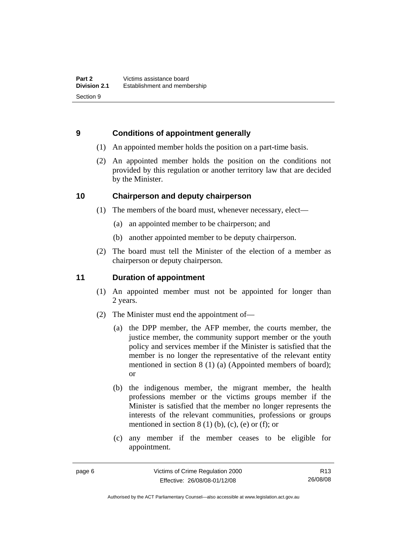### <span id="page-11-0"></span>**9 Conditions of appointment generally**

- (1) An appointed member holds the position on a part-time basis.
- (2) An appointed member holds the position on the conditions not provided by this regulation or another territory law that are decided by the Minister.

### **10 Chairperson and deputy chairperson**

- (1) The members of the board must, whenever necessary, elect—
	- (a) an appointed member to be chairperson; and
	- (b) another appointed member to be deputy chairperson.
- (2) The board must tell the Minister of the election of a member as chairperson or deputy chairperson.

# **11 Duration of appointment**

- (1) An appointed member must not be appointed for longer than 2 years.
- (2) The Minister must end the appointment of—
	- (a) the DPP member, the AFP member, the courts member, the justice member, the community support member or the youth policy and services member if the Minister is satisfied that the member is no longer the representative of the relevant entity mentioned in section 8 (1) (a) (Appointed members of board); or
	- (b) the indigenous member, the migrant member, the health professions member or the victims groups member if the Minister is satisfied that the member no longer represents the interests of the relevant communities, professions or groups mentioned in section  $8(1)$  (b), (c), (e) or (f); or
	- (c) any member if the member ceases to be eligible for appointment.

R13 26/08/08

Authorised by the ACT Parliamentary Counsel—also accessible at www.legislation.act.gov.au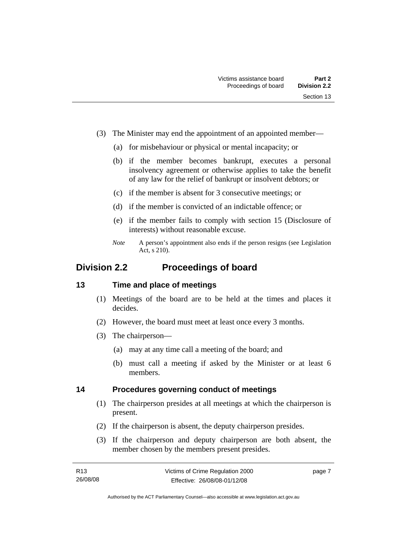- <span id="page-12-0"></span> (3) The Minister may end the appointment of an appointed member—
	- (a) for misbehaviour or physical or mental incapacity; or
	- (b) if the member becomes bankrupt, executes a personal insolvency agreement or otherwise applies to take the benefit of any law for the relief of bankrupt or insolvent debtors; or
	- (c) if the member is absent for 3 consecutive meetings; or
	- (d) if the member is convicted of an indictable offence; or
	- (e) if the member fails to comply with section 15 (Disclosure of interests) without reasonable excuse.
	- *Note* A person's appointment also ends if the person resigns (see Legislation Act, s 210).

# **Division 2.2 Proceedings of board**

#### **13 Time and place of meetings**

- (1) Meetings of the board are to be held at the times and places it decides.
- (2) However, the board must meet at least once every 3 months.
- (3) The chairperson—
	- (a) may at any time call a meeting of the board; and
	- (b) must call a meeting if asked by the Minister or at least 6 members.

#### **14 Procedures governing conduct of meetings**

- (1) The chairperson presides at all meetings at which the chairperson is present.
- (2) If the chairperson is absent, the deputy chairperson presides.
- (3) If the chairperson and deputy chairperson are both absent, the member chosen by the members present presides.

page 7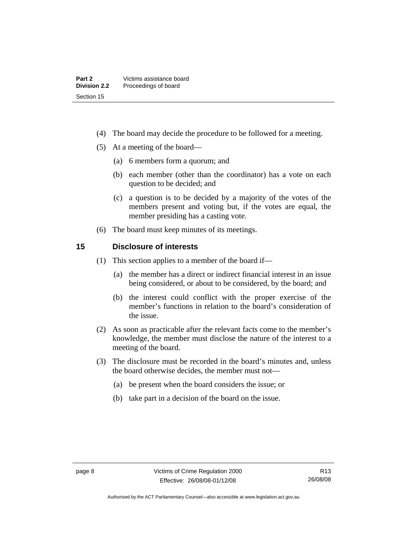- <span id="page-13-0"></span>(4) The board may decide the procedure to be followed for a meeting.
- (5) At a meeting of the board—
	- (a) 6 members form a quorum; and
	- (b) each member (other than the coordinator) has a vote on each question to be decided; and
	- (c) a question is to be decided by a majority of the votes of the members present and voting but, if the votes are equal, the member presiding has a casting vote.
- (6) The board must keep minutes of its meetings.

#### **15 Disclosure of interests**

- (1) This section applies to a member of the board if—
	- (a) the member has a direct or indirect financial interest in an issue being considered, or about to be considered, by the board; and
	- (b) the interest could conflict with the proper exercise of the member's functions in relation to the board's consideration of the issue.
- (2) As soon as practicable after the relevant facts come to the member's knowledge, the member must disclose the nature of the interest to a meeting of the board.
- (3) The disclosure must be recorded in the board's minutes and, unless the board otherwise decides, the member must not—
	- (a) be present when the board considers the issue; or
	- (b) take part in a decision of the board on the issue.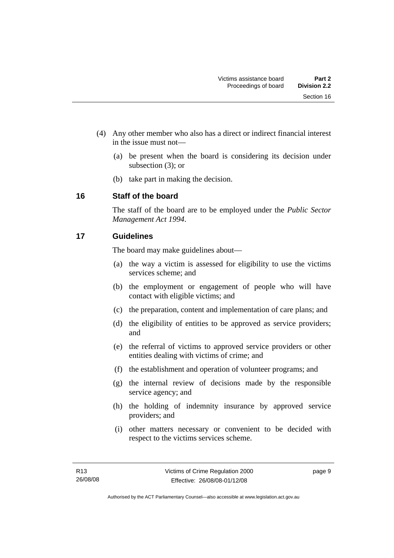- <span id="page-14-0"></span> (4) Any other member who also has a direct or indirect financial interest in the issue must not—
	- (a) be present when the board is considering its decision under subsection (3); or
	- (b) take part in making the decision.

### **16 Staff of the board**

The staff of the board are to be employed under the *Public Sector Management Act 1994*.

# **17 Guidelines**

The board may make guidelines about—

- (a) the way a victim is assessed for eligibility to use the victims services scheme; and
- (b) the employment or engagement of people who will have contact with eligible victims; and
- (c) the preparation, content and implementation of care plans; and
- (d) the eligibility of entities to be approved as service providers; and
- (e) the referral of victims to approved service providers or other entities dealing with victims of crime; and
- (f) the establishment and operation of volunteer programs; and
- (g) the internal review of decisions made by the responsible service agency; and
- (h) the holding of indemnity insurance by approved service providers; and
- (i) other matters necessary or convenient to be decided with respect to the victims services scheme.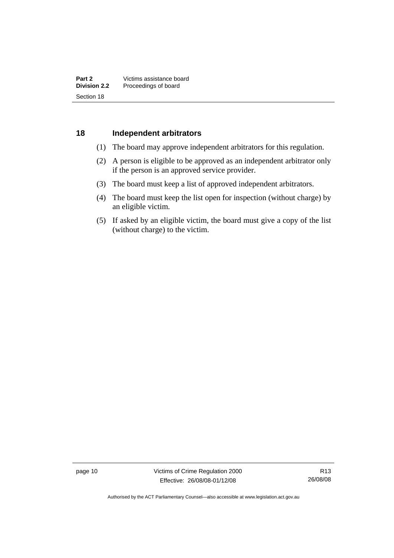#### <span id="page-15-0"></span>**18 Independent arbitrators**

- (1) The board may approve independent arbitrators for this regulation.
- (2) A person is eligible to be approved as an independent arbitrator only if the person is an approved service provider.
- (3) The board must keep a list of approved independent arbitrators.
- (4) The board must keep the list open for inspection (without charge) by an eligible victim.
- (5) If asked by an eligible victim, the board must give a copy of the list (without charge) to the victim.

page 10 Victims of Crime Regulation 2000 Effective: 26/08/08-01/12/08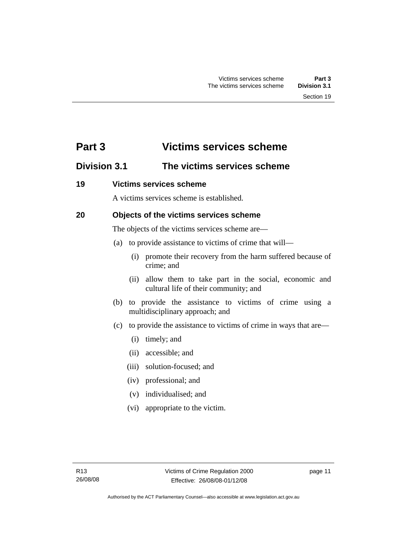# <span id="page-16-0"></span>**Part 3 Victims services scheme**

# **Division 3.1 The victims services scheme**

### **19 Victims services scheme**

A victims services scheme is established.

# **20 Objects of the victims services scheme**

The objects of the victims services scheme are—

- (a) to provide assistance to victims of crime that will—
	- (i) promote their recovery from the harm suffered because of crime; and
	- (ii) allow them to take part in the social, economic and cultural life of their community; and
- (b) to provide the assistance to victims of crime using a multidisciplinary approach; and
- (c) to provide the assistance to victims of crime in ways that are—
	- (i) timely; and
	- (ii) accessible; and
	- (iii) solution-focused; and
	- (iv) professional; and
	- (v) individualised; and
	- (vi) appropriate to the victim.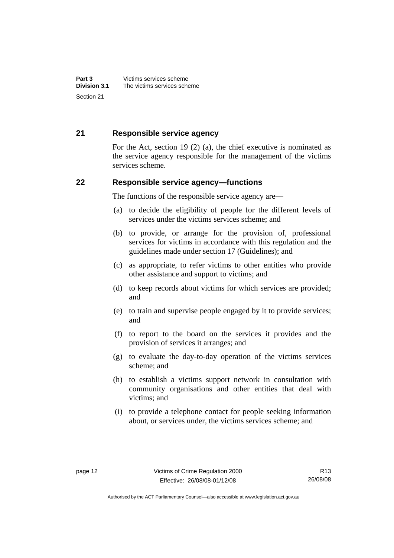### <span id="page-17-0"></span>**21 Responsible service agency**

For the Act, section 19 (2) (a), the chief executive is nominated as the service agency responsible for the management of the victims services scheme.

#### **22 Responsible service agency—functions**

The functions of the responsible service agency are—

- (a) to decide the eligibility of people for the different levels of services under the victims services scheme; and
- (b) to provide, or arrange for the provision of, professional services for victims in accordance with this regulation and the guidelines made under section 17 (Guidelines); and
- (c) as appropriate, to refer victims to other entities who provide other assistance and support to victims; and
- (d) to keep records about victims for which services are provided; and
- (e) to train and supervise people engaged by it to provide services; and
- (f) to report to the board on the services it provides and the provision of services it arranges; and
- (g) to evaluate the day-to-day operation of the victims services scheme; and
- (h) to establish a victims support network in consultation with community organisations and other entities that deal with victims; and
- (i) to provide a telephone contact for people seeking information about, or services under, the victims services scheme; and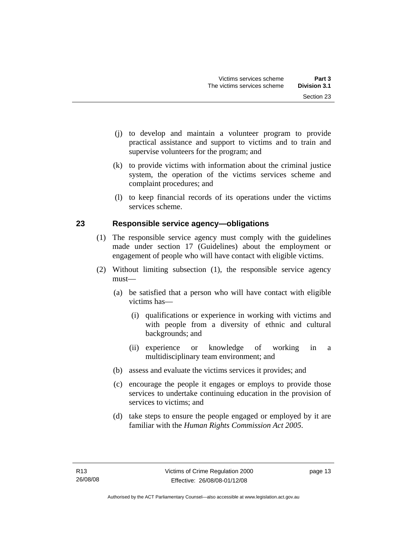- <span id="page-18-0"></span> (j) to develop and maintain a volunteer program to provide practical assistance and support to victims and to train and supervise volunteers for the program; and
- (k) to provide victims with information about the criminal justice system, the operation of the victims services scheme and complaint procedures; and
- (l) to keep financial records of its operations under the victims services scheme.

# **23 Responsible service agency—obligations**

- (1) The responsible service agency must comply with the guidelines made under section 17 (Guidelines) about the employment or engagement of people who will have contact with eligible victims.
- (2) Without limiting subsection (1), the responsible service agency must—
	- (a) be satisfied that a person who will have contact with eligible victims has—
		- (i) qualifications or experience in working with victims and with people from a diversity of ethnic and cultural backgrounds; and
		- (ii) experience or knowledge of working in a multidisciplinary team environment; and
	- (b) assess and evaluate the victims services it provides; and
	- (c) encourage the people it engages or employs to provide those services to undertake continuing education in the provision of services to victims; and
	- (d) take steps to ensure the people engaged or employed by it are familiar with the *Human Rights Commission Act 2005*.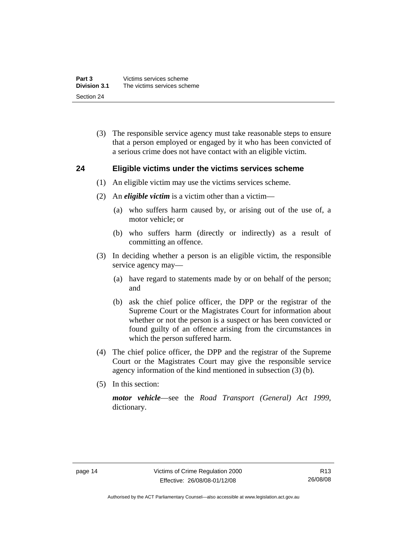<span id="page-19-0"></span> (3) The responsible service agency must take reasonable steps to ensure that a person employed or engaged by it who has been convicted of a serious crime does not have contact with an eligible victim.

#### **24 Eligible victims under the victims services scheme**

- (1) An eligible victim may use the victims services scheme.
- (2) An *eligible victim* is a victim other than a victim—
	- (a) who suffers harm caused by, or arising out of the use of, a motor vehicle; or
	- (b) who suffers harm (directly or indirectly) as a result of committing an offence.
- (3) In deciding whether a person is an eligible victim, the responsible service agency may—
	- (a) have regard to statements made by or on behalf of the person; and
	- (b) ask the chief police officer, the DPP or the registrar of the Supreme Court or the Magistrates Court for information about whether or not the person is a suspect or has been convicted or found guilty of an offence arising from the circumstances in which the person suffered harm.
- (4) The chief police officer, the DPP and the registrar of the Supreme Court or the Magistrates Court may give the responsible service agency information of the kind mentioned in subsection (3) (b).
- (5) In this section:

*motor vehicle*—see the *Road Transport (General) Act 1999*, dictionary.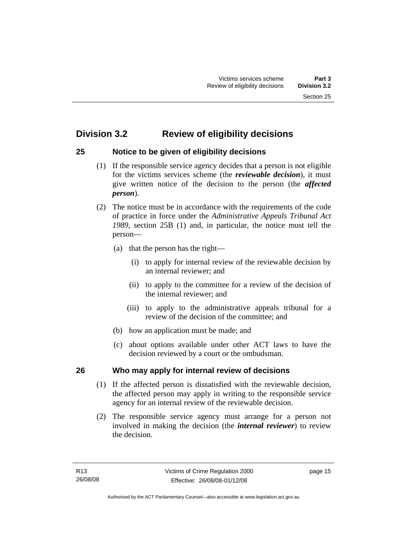# <span id="page-20-0"></span>**Division 3.2 Review of eligibility decisions**

# **25 Notice to be given of eligibility decisions**

- (1) If the responsible service agency decides that a person is not eligible for the victims services scheme (the *reviewable decision*), it must give written notice of the decision to the person (the *affected person*).
- (2) The notice must be in accordance with the requirements of the code of practice in force under the *Administrative Appeals Tribunal Act 1989*, section 25B (1) and, in particular, the notice must tell the person—
	- (a) that the person has the right—
		- (i) to apply for internal review of the reviewable decision by an internal reviewer; and
		- (ii) to apply to the committee for a review of the decision of the internal reviewer; and
		- (iii) to apply to the administrative appeals tribunal for a review of the decision of the committee; and
	- (b) how an application must be made; and
	- (c) about options available under other ACT laws to have the decision reviewed by a court or the ombudsman.

# **26 Who may apply for internal review of decisions**

- (1) If the affected person is dissatisfied with the reviewable decision, the affected person may apply in writing to the responsible service agency for an internal review of the reviewable decision.
- (2) The responsible service agency must arrange for a person not involved in making the decision (the *internal reviewer*) to review the decision.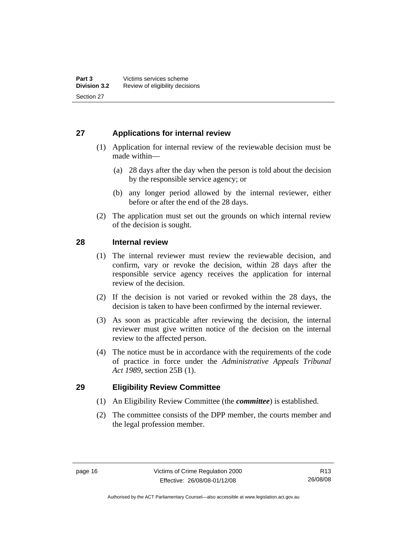# <span id="page-21-0"></span>**27 Applications for internal review**

- (1) Application for internal review of the reviewable decision must be made within—
	- (a) 28 days after the day when the person is told about the decision by the responsible service agency; or
	- (b) any longer period allowed by the internal reviewer, either before or after the end of the 28 days.
- (2) The application must set out the grounds on which internal review of the decision is sought.

### **28 Internal review**

- (1) The internal reviewer must review the reviewable decision, and confirm, vary or revoke the decision, within 28 days after the responsible service agency receives the application for internal review of the decision.
- (2) If the decision is not varied or revoked within the 28 days, the decision is taken to have been confirmed by the internal reviewer.
- (3) As soon as practicable after reviewing the decision, the internal reviewer must give written notice of the decision on the internal review to the affected person.
- (4) The notice must be in accordance with the requirements of the code of practice in force under the *Administrative Appeals Tribunal Act 1989*, section 25B (1).

#### **29 Eligibility Review Committee**

- (1) An Eligibility Review Committee (the *committee*) is established.
- (2) The committee consists of the DPP member, the courts member and the legal profession member.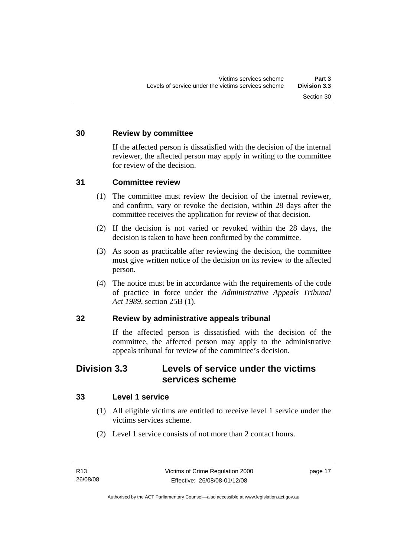# <span id="page-22-0"></span>**30 Review by committee**

If the affected person is dissatisfied with the decision of the internal reviewer, the affected person may apply in writing to the committee for review of the decision.

#### **31 Committee review**

- (1) The committee must review the decision of the internal reviewer, and confirm, vary or revoke the decision, within 28 days after the committee receives the application for review of that decision.
- (2) If the decision is not varied or revoked within the 28 days, the decision is taken to have been confirmed by the committee.
- (3) As soon as practicable after reviewing the decision, the committee must give written notice of the decision on its review to the affected person.
- (4) The notice must be in accordance with the requirements of the code of practice in force under the *Administrative Appeals Tribunal Act 1989*, section 25B (1).

#### **32 Review by administrative appeals tribunal**

If the affected person is dissatisfied with the decision of the committee, the affected person may apply to the administrative appeals tribunal for review of the committee's decision.

# **Division 3.3 Levels of service under the victims services scheme**

#### **33 Level 1 service**

- (1) All eligible victims are entitled to receive level 1 service under the victims services scheme.
- (2) Level 1 service consists of not more than 2 contact hours.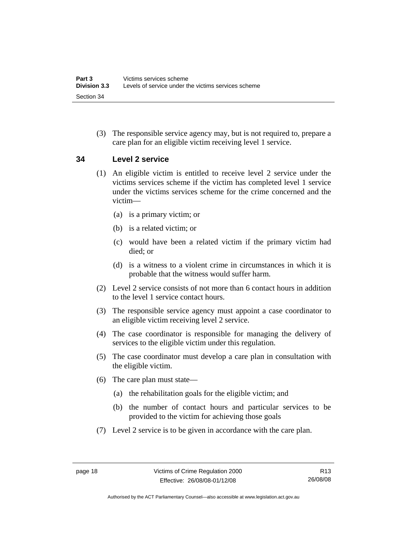<span id="page-23-0"></span> (3) The responsible service agency may, but is not required to, prepare a care plan for an eligible victim receiving level 1 service.

#### **34 Level 2 service**

- (1) An eligible victim is entitled to receive level 2 service under the victims services scheme if the victim has completed level 1 service under the victims services scheme for the crime concerned and the victim—
	- (a) is a primary victim; or
	- (b) is a related victim; or
	- (c) would have been a related victim if the primary victim had died; or
	- (d) is a witness to a violent crime in circumstances in which it is probable that the witness would suffer harm.
- (2) Level 2 service consists of not more than 6 contact hours in addition to the level 1 service contact hours.
- (3) The responsible service agency must appoint a case coordinator to an eligible victim receiving level 2 service.
- (4) The case coordinator is responsible for managing the delivery of services to the eligible victim under this regulation.
- (5) The case coordinator must develop a care plan in consultation with the eligible victim.
- (6) The care plan must state—
	- (a) the rehabilitation goals for the eligible victim; and
	- (b) the number of contact hours and particular services to be provided to the victim for achieving those goals
- (7) Level 2 service is to be given in accordance with the care plan.

R13 26/08/08

Authorised by the ACT Parliamentary Counsel—also accessible at www.legislation.act.gov.au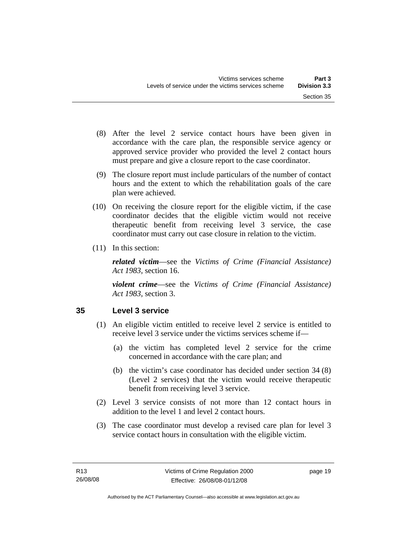- <span id="page-24-0"></span> (8) After the level 2 service contact hours have been given in accordance with the care plan, the responsible service agency or approved service provider who provided the level 2 contact hours must prepare and give a closure report to the case coordinator.
- (9) The closure report must include particulars of the number of contact hours and the extent to which the rehabilitation goals of the care plan were achieved.
- (10) On receiving the closure report for the eligible victim, if the case coordinator decides that the eligible victim would not receive therapeutic benefit from receiving level 3 service, the case coordinator must carry out case closure in relation to the victim.
- (11) In this section:

*related victim*—see the *Victims of Crime (Financial Assistance) Act 1983*, section 16.

*violent crime*—see the *Victims of Crime (Financial Assistance) Act 1983*, section 3.

# **35 Level 3 service**

- (1) An eligible victim entitled to receive level 2 service is entitled to receive level 3 service under the victims services scheme if—
	- (a) the victim has completed level 2 service for the crime concerned in accordance with the care plan; and
	- (b) the victim's case coordinator has decided under section 34 (8) (Level 2 services) that the victim would receive therapeutic benefit from receiving level 3 service.
- (2) Level 3 service consists of not more than 12 contact hours in addition to the level 1 and level 2 contact hours.
- (3) The case coordinator must develop a revised care plan for level 3 service contact hours in consultation with the eligible victim.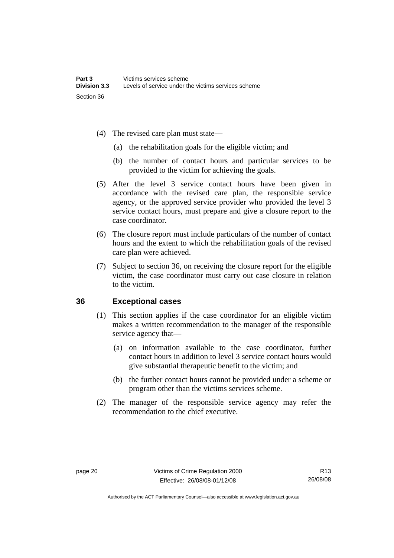- <span id="page-25-0"></span> (4) The revised care plan must state—
	- (a) the rehabilitation goals for the eligible victim; and
	- (b) the number of contact hours and particular services to be provided to the victim for achieving the goals.
- (5) After the level 3 service contact hours have been given in accordance with the revised care plan, the responsible service agency, or the approved service provider who provided the level 3 service contact hours, must prepare and give a closure report to the case coordinator.
- (6) The closure report must include particulars of the number of contact hours and the extent to which the rehabilitation goals of the revised care plan were achieved.
- (7) Subject to section 36, on receiving the closure report for the eligible victim, the case coordinator must carry out case closure in relation to the victim.

#### **36 Exceptional cases**

- (1) This section applies if the case coordinator for an eligible victim makes a written recommendation to the manager of the responsible service agency that—
	- (a) on information available to the case coordinator, further contact hours in addition to level 3 service contact hours would give substantial therapeutic benefit to the victim; and
	- (b) the further contact hours cannot be provided under a scheme or program other than the victims services scheme.
- (2) The manager of the responsible service agency may refer the recommendation to the chief executive.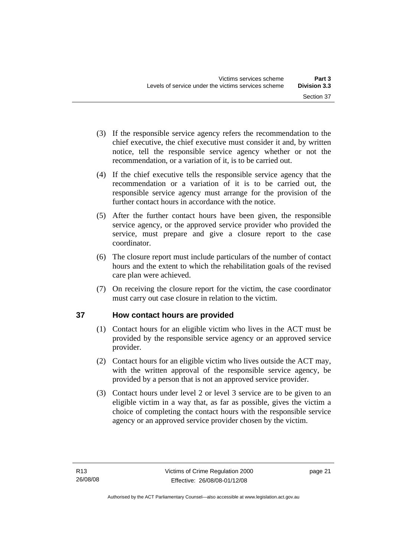- <span id="page-26-0"></span> (3) If the responsible service agency refers the recommendation to the chief executive, the chief executive must consider it and, by written notice, tell the responsible service agency whether or not the recommendation, or a variation of it, is to be carried out.
- (4) If the chief executive tells the responsible service agency that the recommendation or a variation of it is to be carried out, the responsible service agency must arrange for the provision of the further contact hours in accordance with the notice.
- (5) After the further contact hours have been given, the responsible service agency, or the approved service provider who provided the service, must prepare and give a closure report to the case coordinator.
- (6) The closure report must include particulars of the number of contact hours and the extent to which the rehabilitation goals of the revised care plan were achieved.
- (7) On receiving the closure report for the victim, the case coordinator must carry out case closure in relation to the victim.

# **37 How contact hours are provided**

- (1) Contact hours for an eligible victim who lives in the ACT must be provided by the responsible service agency or an approved service provider.
- (2) Contact hours for an eligible victim who lives outside the ACT may, with the written approval of the responsible service agency, be provided by a person that is not an approved service provider.
- (3) Contact hours under level 2 or level 3 service are to be given to an eligible victim in a way that, as far as possible, gives the victim a choice of completing the contact hours with the responsible service agency or an approved service provider chosen by the victim.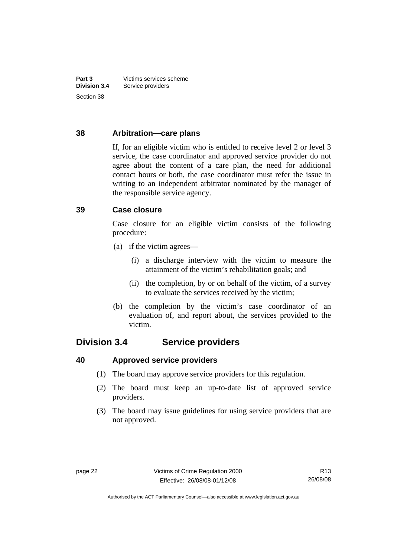### <span id="page-27-0"></span>**38 Arbitration—care plans**

If, for an eligible victim who is entitled to receive level 2 or level 3 service, the case coordinator and approved service provider do not agree about the content of a care plan, the need for additional contact hours or both, the case coordinator must refer the issue in writing to an independent arbitrator nominated by the manager of the responsible service agency.

### **39 Case closure**

Case closure for an eligible victim consists of the following procedure:

- (a) if the victim agrees—
	- (i) a discharge interview with the victim to measure the attainment of the victim's rehabilitation goals; and
	- (ii) the completion, by or on behalf of the victim, of a survey to evaluate the services received by the victim;
- (b) the completion by the victim's case coordinator of an evaluation of, and report about, the services provided to the victim.

# **Division 3.4 Service providers**

**40 Approved service providers** 

- (1) The board may approve service providers for this regulation.
- (2) The board must keep an up-to-date list of approved service providers.
- (3) The board may issue guidelines for using service providers that are not approved.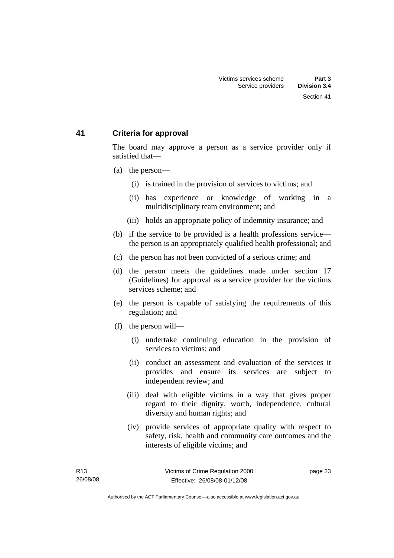### <span id="page-28-0"></span>**41 Criteria for approval**

The board may approve a person as a service provider only if satisfied that—

- (a) the person—
	- (i) is trained in the provision of services to victims; and
	- (ii) has experience or knowledge of working in a multidisciplinary team environment; and
	- (iii) holds an appropriate policy of indemnity insurance; and
- (b) if the service to be provided is a health professions service the person is an appropriately qualified health professional; and
- (c) the person has not been convicted of a serious crime; and
- (d) the person meets the guidelines made under section 17 (Guidelines) for approval as a service provider for the victims services scheme; and
- (e) the person is capable of satisfying the requirements of this regulation; and
- (f) the person will—
	- (i) undertake continuing education in the provision of services to victims; and
	- (ii) conduct an assessment and evaluation of the services it provides and ensure its services are subject to independent review; and
	- (iii) deal with eligible victims in a way that gives proper regard to their dignity, worth, independence, cultural diversity and human rights; and
	- (iv) provide services of appropriate quality with respect to safety, risk, health and community care outcomes and the interests of eligible victims; and

page 23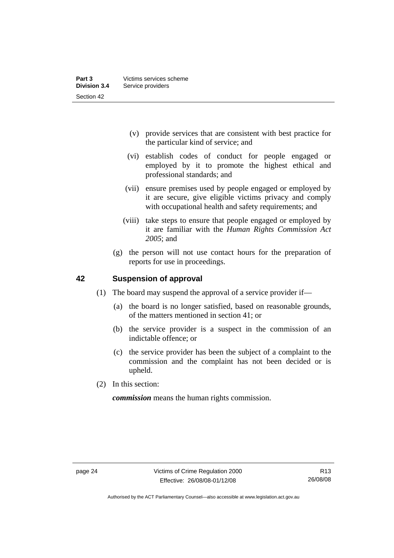- <span id="page-29-0"></span> (v) provide services that are consistent with best practice for the particular kind of service; and
- (vi) establish codes of conduct for people engaged or employed by it to promote the highest ethical and professional standards; and
- (vii) ensure premises used by people engaged or employed by it are secure, give eligible victims privacy and comply with occupational health and safety requirements; and
- (viii) take steps to ensure that people engaged or employed by it are familiar with the *Human Rights Commission Act 2005*; and
- (g) the person will not use contact hours for the preparation of reports for use in proceedings.

### **42 Suspension of approval**

- (1) The board may suspend the approval of a service provider if—
	- (a) the board is no longer satisfied, based on reasonable grounds, of the matters mentioned in section 41; or
	- (b) the service provider is a suspect in the commission of an indictable offence; or
	- (c) the service provider has been the subject of a complaint to the commission and the complaint has not been decided or is upheld.
- (2) In this section:

*commission* means the human rights commission.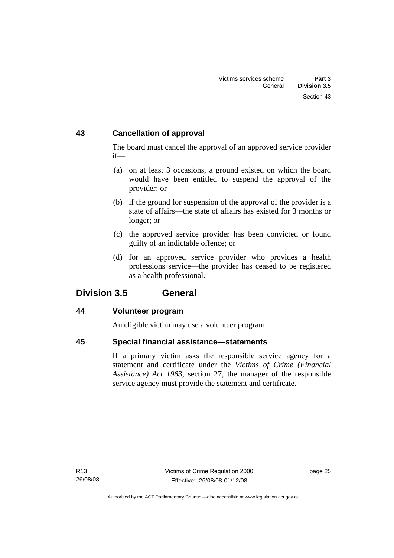# <span id="page-30-0"></span>**43 Cancellation of approval**

The board must cancel the approval of an approved service provider if—

- (a) on at least 3 occasions, a ground existed on which the board would have been entitled to suspend the approval of the provider; or
- (b) if the ground for suspension of the approval of the provider is a state of affairs—the state of affairs has existed for 3 months or longer; or
- (c) the approved service provider has been convicted or found guilty of an indictable offence; or
- (d) for an approved service provider who provides a health professions service—the provider has ceased to be registered as a health professional.

# **Division 3.5 General**

### **44 Volunteer program**

An eligible victim may use a volunteer program.

### **45 Special financial assistance—statements**

If a primary victim asks the responsible service agency for a statement and certificate under the *Victims of Crime (Financial Assistance) Act 1983*, section 27, the manager of the responsible service agency must provide the statement and certificate.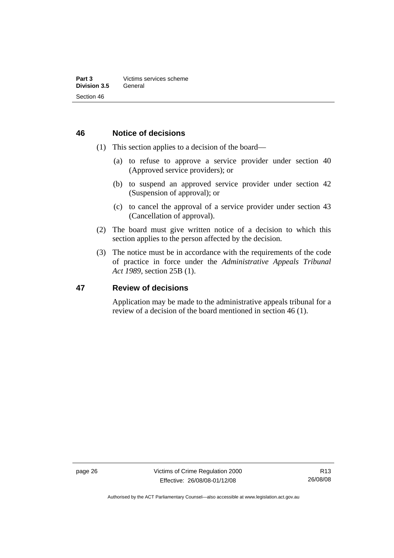#### <span id="page-31-0"></span>**46 Notice of decisions**

- (1) This section applies to a decision of the board—
	- (a) to refuse to approve a service provider under section 40 (Approved service providers); or
	- (b) to suspend an approved service provider under section 42 (Suspension of approval); or
	- (c) to cancel the approval of a service provider under section 43 (Cancellation of approval).
- (2) The board must give written notice of a decision to which this section applies to the person affected by the decision.
- (3) The notice must be in accordance with the requirements of the code of practice in force under the *Administrative Appeals Tribunal Act 1989*, section 25B (1).

#### **47 Review of decisions**

Application may be made to the administrative appeals tribunal for a review of a decision of the board mentioned in section 46 (1).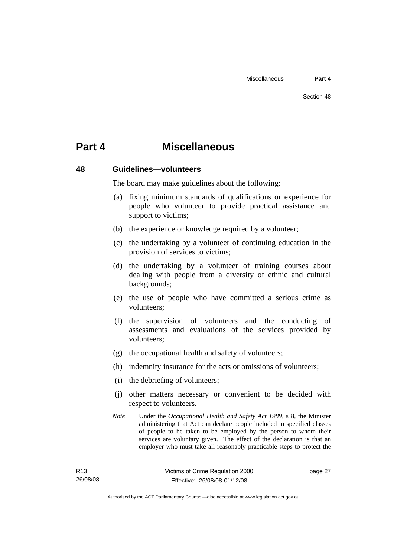# <span id="page-32-0"></span>**Part 4 Miscellaneous**

#### **48 Guidelines—volunteers**

The board may make guidelines about the following:

- (a) fixing minimum standards of qualifications or experience for people who volunteer to provide practical assistance and support to victims;
- (b) the experience or knowledge required by a volunteer;
- (c) the undertaking by a volunteer of continuing education in the provision of services to victims;
- (d) the undertaking by a volunteer of training courses about dealing with people from a diversity of ethnic and cultural backgrounds;
- (e) the use of people who have committed a serious crime as volunteers;
- (f) the supervision of volunteers and the conducting of assessments and evaluations of the services provided by volunteers;
- (g) the occupational health and safety of volunteers;
- (h) indemnity insurance for the acts or omissions of volunteers;
- (i) the debriefing of volunteers;
- (j) other matters necessary or convenient to be decided with respect to volunteers.
- *Note* Under the *Occupational Health and Safety Act 1989*, s 8, the Minister administering that Act can declare people included in specified classes of people to be taken to be employed by the person to whom their services are voluntary given. The effect of the declaration is that an employer who must take all reasonably practicable steps to protect the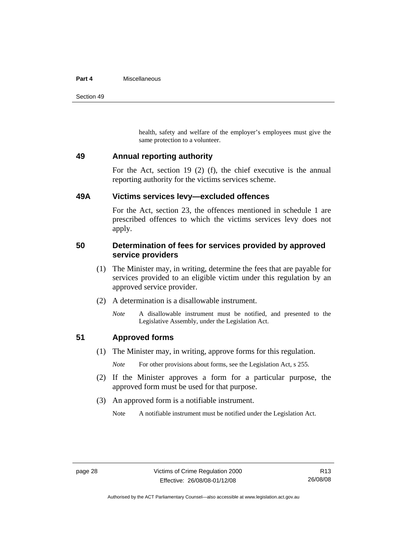#### <span id="page-33-0"></span>**Part 4** Miscellaneous

Section 49

health, safety and welfare of the employer's employees must give the same protection to a volunteer.

#### **49 Annual reporting authority**

For the Act, section 19 (2) (f), the chief executive is the annual reporting authority for the victims services scheme.

#### **49A Victims services levy—excluded offences**

For the Act, section 23, the offences mentioned in schedule 1 are prescribed offences to which the victims services levy does not apply.

#### **50 Determination of fees for services provided by approved service providers**

- (1) The Minister may, in writing, determine the fees that are payable for services provided to an eligible victim under this regulation by an approved service provider.
- (2) A determination is a disallowable instrument.
	- *Note* A disallowable instrument must be notified, and presented to the Legislative Assembly, under the Legislation Act.

### **51 Approved forms**

(1) The Minister may, in writing, approve forms for this regulation.

*Note* For other provisions about forms, see the Legislation Act, s 255.

- (2) If the Minister approves a form for a particular purpose, the approved form must be used for that purpose.
- (3) An approved form is a notifiable instrument.

Note A notifiable instrument must be notified under the Legislation Act.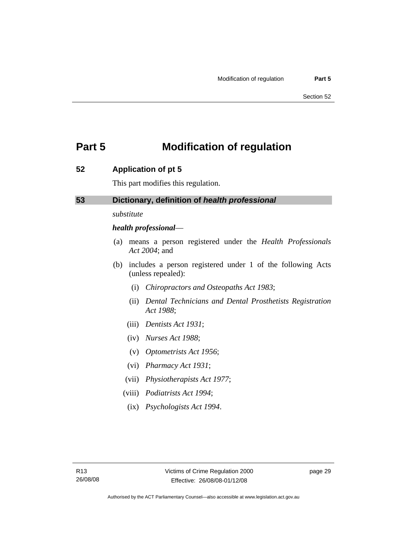# <span id="page-34-0"></span>**Part 5 Modification of regulation**

### **52 Application of pt 5**

This part modifies this regulation.

#### **53 Dictionary, definition of** *health professional*

#### *substitute*

#### *health professional*—

- (a) means a person registered under the *Health Professionals Act 2004*; and
- (b) includes a person registered under 1 of the following Acts (unless repealed):
	- (i) *Chiropractors and Osteopaths Act 1983*;
	- (ii) *Dental Technicians and Dental Prosthetists Registration Act 1988*;
	- (iii) *Dentists Act 1931*;
	- (iv) *Nurses Act 1988*;
	- (v) *Optometrists Act 1956*;
	- (vi) *Pharmacy Act 1931*;
	- (vii) *Physiotherapists Act 1977*;
	- (viii) *Podiatrists Act 1994*;
		- (ix) *Psychologists Act 1994*.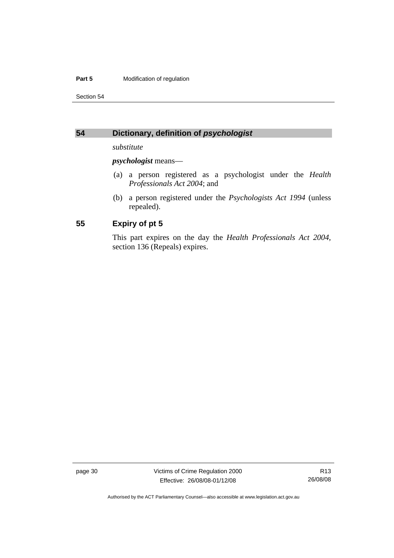#### <span id="page-35-0"></span>**Part 5 Modification of regulation**

Section 54

### **54 Dictionary, definition of** *psychologist*

*substitute* 

*psychologist* means—

- (a) a person registered as a psychologist under the *Health Professionals Act 2004*; and
- (b) a person registered under the *Psychologists Act 1994* (unless repealed).

#### **55 Expiry of pt 5**

This part expires on the day the *Health Professionals Act 2004*, section 136 (Repeals) expires.

page 30 Victims of Crime Regulation 2000 Effective: 26/08/08-01/12/08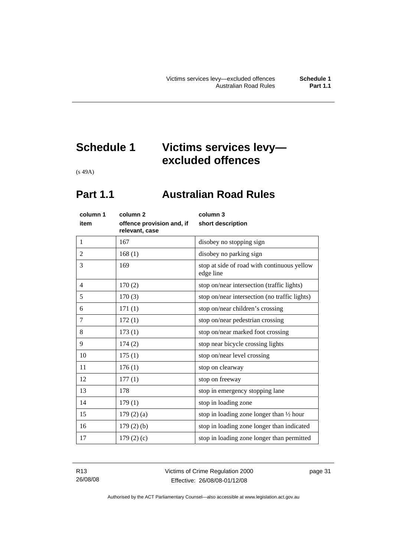# <span id="page-36-0"></span>**Schedule 1 Victims services levy excluded offences**

(s 49A)

# **Part 1.1 Australian Road Rules**

| column 1       | column 2                                    | column 3                                                 |
|----------------|---------------------------------------------|----------------------------------------------------------|
| item           | offence provision and, if<br>relevant, case | short description                                        |
| $\mathbf{1}$   | 167                                         | disobey no stopping sign                                 |
| $\overline{2}$ | 168(1)                                      | disobey no parking sign                                  |
| 3              | 169                                         | stop at side of road with continuous yellow<br>edge line |
| $\overline{4}$ | 170(2)                                      | stop on/near intersection (traffic lights)               |
| 5              | 170(3)                                      | stop on/near intersection (no traffic lights)            |
| 6              | 171(1)                                      | stop on/near children's crossing                         |
| 7              | 172(1)                                      | stop on/near pedestrian crossing                         |
| 8              | 173(1)                                      | stop on/near marked foot crossing                        |
| 9              | 174(2)                                      | stop near bicycle crossing lights                        |
| 10             | 175(1)                                      | stop on/near level crossing                              |
| 11             | 176(1)                                      | stop on clearway                                         |
| 12             | 177(1)                                      | stop on freeway                                          |
| 13             | 178                                         | stop in emergency stopping lane                          |
| 14             | 179(1)                                      | stop in loading zone                                     |
| 15             | 179(2)(a)                                   | stop in loading zone longer than $\frac{1}{2}$ hour      |
| 16             | $179(2)$ (b)                                | stop in loading zone longer than indicated               |
| 17             | 179(2)(c)                                   | stop in loading zone longer than permitted               |
|                |                                             |                                                          |

R13 26/08/08 page 31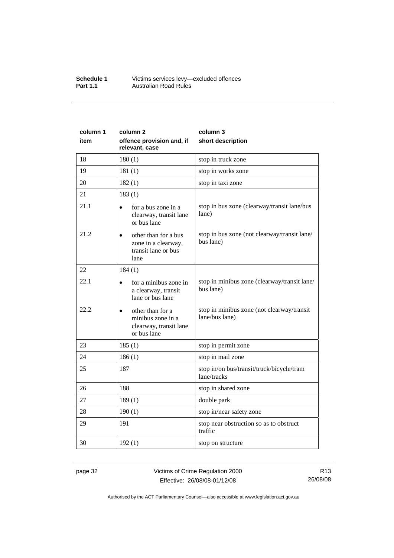#### **Schedule 1** Victims services levy—excluded offences **Part 1.1 Australian Road Rules**

| column 1 | column <sub>2</sub>                                                                     | column 3                                                     |
|----------|-----------------------------------------------------------------------------------------|--------------------------------------------------------------|
| item     | offence provision and, if<br>relevant, case                                             | short description                                            |
| 18       | 180(1)                                                                                  | stop in truck zone                                           |
| 19       | 181(1)                                                                                  | stop in works zone                                           |
| 20       | 182(1)                                                                                  | stop in taxi zone                                            |
| 21       | 183(1)                                                                                  |                                                              |
| 21.1     | for a bus zone in a<br>clearway, transit lane<br>or bus lane                            | stop in bus zone (clearway/transit lane/bus<br>lane)         |
| 21.2     | other than for a bus<br>$\bullet$<br>zone in a clearway,<br>transit lane or bus<br>lane | stop in bus zone (not clearway/transit lane/<br>bus lane)    |
| 22       | 184(1)                                                                                  |                                                              |
| 22.1     | for a minibus zone in<br>a clearway, transit<br>lane or bus lane                        | stop in minibus zone (clearway/transit lane/<br>bus lane)    |
| 22.2     | other than for a<br>minibus zone in a<br>clearway, transit lane<br>or bus lane          | stop in minibus zone (not clearway/transit<br>lane/bus lane) |
| 23       | 185(1)                                                                                  | stop in permit zone                                          |
| 24       | 186(1)                                                                                  | stop in mail zone                                            |
| 25       | 187                                                                                     | stop in/on bus/transit/truck/bicycle/tram<br>lane/tracks     |
| 26       | 188                                                                                     | stop in shared zone                                          |
| 27       | 189(1)                                                                                  | double park                                                  |
| 28       | 190(1)                                                                                  | stop in/near safety zone                                     |
| 29       | 191                                                                                     | stop near obstruction so as to obstruct<br>traffic           |
| 30       | 192(1)                                                                                  | stop on structure                                            |

page 32 Victims of Crime Regulation 2000 Effective: 26/08/08-01/12/08

R13 26/08/08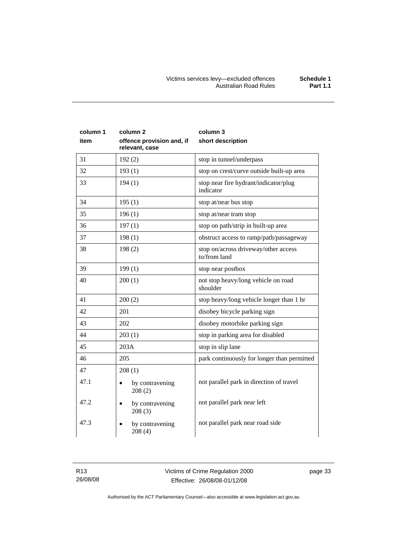| column 1<br>item | column 2<br>offence provision and, if<br>relevant, case | column 3<br>short description                        |
|------------------|---------------------------------------------------------|------------------------------------------------------|
| 31               | 192(2)                                                  | stop in tunnel/underpass                             |
| 32               | 193(1)                                                  | stop on crest/curve outside built-up area            |
| 33               | 194(1)                                                  | stop near fire hydrant/indicator/plug<br>indicator   |
| 34               | 195(1)                                                  | stop at/near bus stop                                |
| 35               | 196(1)                                                  | stop at/near tram stop                               |
| 36               | 197(1)                                                  | stop on path/strip in built-up area                  |
| 37               | 198(1)                                                  | obstruct access to ramp/path/passageway              |
| 38               | 198(2)                                                  | stop on/across driveway/other access<br>to/from land |
| 39               | 199(1)                                                  | stop near postbox                                    |
| 40               | 200(1)                                                  | not stop heavy/long vehicle on road<br>shoulder      |
| 41               | 200(2)                                                  | stop heavy/long vehicle longer than 1 hr             |
| 42               | 201                                                     | disobey bicycle parking sign                         |
| 43               | 202                                                     | disobey motorbike parking sign                       |
| 44               | 203(1)                                                  | stop in parking area for disabled                    |
| 45               | 203A                                                    | stop in slip lane                                    |
| 46               | 205                                                     | park continuously for longer than permitted          |
| 47               | 208(1)                                                  |                                                      |
| 47.1             | by contravening<br>208(2)                               | not parallel park in direction of travel             |
| 47.2             | by contravening<br>208(3)                               | not parallel park near left                          |
| 47.3             | by contravening<br>208(4)                               | not parallel park near road side                     |

R13 26/08/08 page 33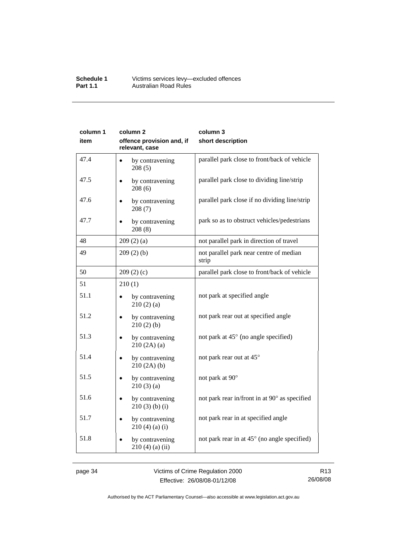#### **Schedule 1** Victims services levy—excluded offences **Part 1.1 Australian Road Rules**

| column 1<br>item | column <sub>2</sub><br>offence provision and, if<br>relevant, case | column 3<br>short description                    |
|------------------|--------------------------------------------------------------------|--------------------------------------------------|
| 47.4             | by contravening<br>$\bullet$<br>208(5)                             | parallel park close to front/back of vehicle     |
| 47.5             | by contravening<br>208(6)                                          | parallel park close to dividing line/strip       |
| 47.6             | by contravening<br>208(7)                                          | parallel park close if no dividing line/strip    |
| 47.7             | by contravening<br>208(8)                                          | park so as to obstruct vehicles/pedestrians      |
| 48               | 209(2)(a)                                                          | not parallel park in direction of travel         |
| 49               | 209(2)(b)                                                          | not parallel park near centre of median<br>strip |
| 50               | 209(2)(c)                                                          | parallel park close to front/back of vehicle     |
| 51               | 210(1)                                                             |                                                  |
| 51.1             | by contravening<br>210(2)(a)                                       | not park at specified angle                      |
| 51.2             | by contravening<br>210(2)(b)                                       | not park rear out at specified angle             |
| 51.3             | by contravening<br>210(2A)(a)                                      | not park at 45° (no angle specified)             |
| 51.4             | by contravening<br>210(2A)(b)                                      | not park rear out at 45°                         |
| 51.5             | by contravening<br>210(3)(a)                                       | not park at 90°                                  |
| 51.6             | by contravening<br>$210(3)$ (b) (i)                                | not park rear in/front in at 90° as specified    |
| 51.7             | by contravening<br>$210(4)(a)$ (i)                                 | not park rear in at specified angle              |
| 51.8             | by contravening<br>$210(4)$ (a) (ii)                               | not park rear in at 45° (no angle specified)     |

page 34 Victims of Crime Regulation 2000 Effective: 26/08/08-01/12/08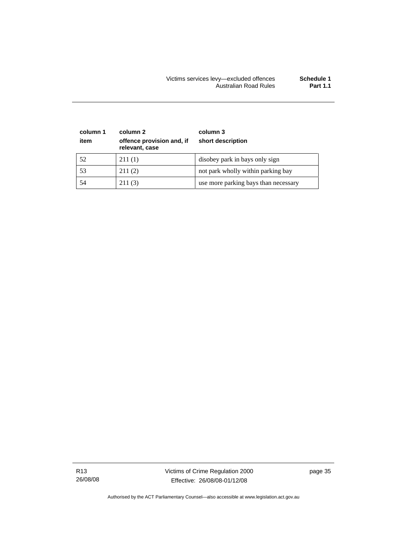| column 1<br>item | column 2<br>offence provision and, if<br>relevant, case | column 3<br>short description        |
|------------------|---------------------------------------------------------|--------------------------------------|
| 52               | 211(1)                                                  | disobey park in bays only sign       |
| 53               | 211(2)                                                  | not park wholly within parking bay   |
| 54               | 211(3)                                                  | use more parking bays than necessary |

R13 26/08/08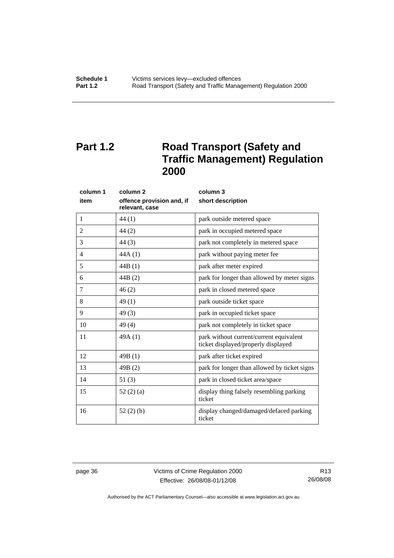# <span id="page-41-0"></span>**Part 1.2** Road Transport (Safety and **Traffic Management) Regulation 2000**

|      | column 1 | column <sub>2</sub>                         | column 3                                                                       |
|------|----------|---------------------------------------------|--------------------------------------------------------------------------------|
| item |          | offence provision and, if<br>relevant, case | short description                                                              |
| 1    |          | 44 (1)                                      | park outside metered space                                                     |
| 2    |          | 44(2)                                       | park in occupied metered space                                                 |
| 3    |          | 44(3)                                       | park not completely in metered space                                           |
| 4    |          | 44A(1)                                      | park without paying meter fee                                                  |
| 5    |          | 44B(1)                                      | park after meter expired                                                       |
| 6    |          | 44B (2)                                     | park for longer than allowed by meter signs                                    |
| 7    |          | 46(2)                                       | park in closed metered space                                                   |
| 8    |          | 49(1)                                       | park outside ticket space                                                      |
| 9    |          | 49(3)                                       | park in occupied ticket space                                                  |
| 10   |          | 49(4)                                       | park not completely in ticket space                                            |
| 11   |          | 49A(1)                                      | park without current/current equivalent<br>ticket displayed/properly displayed |
| 12   |          | 49B(1)                                      | park after ticket expired                                                      |
| 13   |          | 49B(2)                                      | park for longer than allowed by ticket signs                                   |
| 14   |          | 51(3)                                       | park in closed ticket area/space                                               |
| 15   |          | 52 $(2)$ $(a)$                              | display thing falsely resembling parking<br>ticket                             |
| 16   |          | 52(2)(b)                                    | display changed/damaged/defaced parking<br>ticket                              |

page 36 Victims of Crime Regulation 2000 Effective: 26/08/08-01/12/08

R13 26/08/08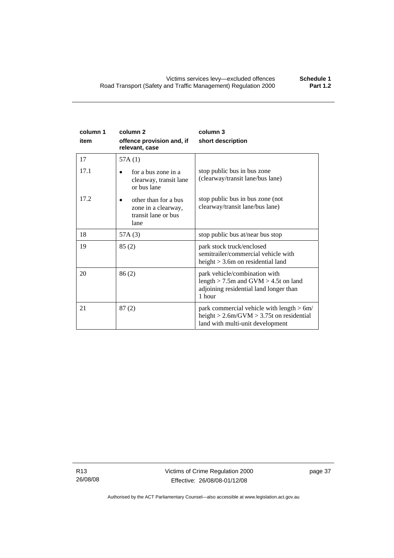| column 1<br>item | column <sub>2</sub><br>offence provision and, if<br>relevant, case         | column 3<br>short description                                                                                                     |
|------------------|----------------------------------------------------------------------------|-----------------------------------------------------------------------------------------------------------------------------------|
| 17               | 57A(1)                                                                     |                                                                                                                                   |
| 17.1             | for a bus zone in a<br>clearway, transit lane<br>or bus lane               | stop public bus in bus zone<br>(clearway/transit lane/bus lane)                                                                   |
| 17.2             | other than for a bus<br>zone in a clearway,<br>transit lane or bus<br>lane | stop public bus in bus zone (not<br>clearway/transit lane/bus lane)                                                               |
| 18               | 57A(3)                                                                     | stop public bus at/near bus stop                                                                                                  |
| 19               | 85(2)                                                                      | park stock truck/enclosed<br>semitrailer/commercial vehicle with<br>height $> 3.6$ m on residential land                          |
| 20               | 86(2)                                                                      | park vehicle/combination with<br>length $>$ 7.5m and GVM $>$ 4.5t on land<br>adjoining residential land longer than<br>1 hour     |
| 21               | 87(2)                                                                      | park commercial vehicle with length $> 6m/$<br>height $> 2.6$ m/GVM $> 3.75$ t on residential<br>land with multi-unit development |

R13 26/08/08 Victims of Crime Regulation 2000 Effective: 26/08/08-01/12/08

page 37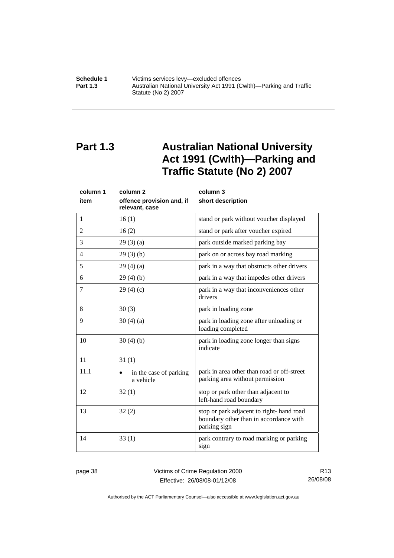<span id="page-43-0"></span>**Schedule 1 Victims services levy—excluded offences**<br>**Part 1.3 Australian National University Act 1991 (C Part 1.3** Australian National University Act 1991 (Cwlth)—Parking and Traffic Statute (No 2) 2007

# **Part 1.3 Australian National University Act 1991 (Cwlth)—Parking and Traffic Statute (No 2) 2007**

| column 1       | column <sub>2</sub>                         | column 3                                                                                           |  |
|----------------|---------------------------------------------|----------------------------------------------------------------------------------------------------|--|
| item           | offence provision and, if<br>relevant, case | short description                                                                                  |  |
| $\mathbf{1}$   | 16(1)                                       | stand or park without voucher displayed                                                            |  |
| 2              | 16(2)                                       | stand or park after voucher expired                                                                |  |
| 3              | 29(3)(a)                                    | park outside marked parking bay                                                                    |  |
| $\overline{4}$ | 29(3)(b)                                    | park on or across bay road marking                                                                 |  |
| 5              | 29(4)(a)                                    | park in a way that obstructs other drivers                                                         |  |
| 6              | 29(4)(b)                                    | park in a way that impedes other drivers                                                           |  |
| 7              | 29(4)(c)                                    | park in a way that inconveniences other<br>drivers                                                 |  |
| 8              | 30(3)                                       | park in loading zone                                                                               |  |
| 9              | 30(4)(a)                                    | park in loading zone after unloading or<br>loading completed                                       |  |
| 10             | 30(4)(b)                                    | park in loading zone longer than signs<br>indicate                                                 |  |
| 11             | 31(1)                                       |                                                                                                    |  |
| 11.1           | in the case of parking<br>a vehicle         | park in area other than road or off-street<br>parking area without permission                      |  |
| 12             | 32(1)                                       | stop or park other than adjacent to<br>left-hand road boundary                                     |  |
| 13             | 32(2)                                       | stop or park adjacent to right-hand road<br>boundary other than in accordance with<br>parking sign |  |
| 14             | 33(1)                                       | park contrary to road marking or parking<br>sign                                                   |  |

page 38 Victims of Crime Regulation 2000 Effective: 26/08/08-01/12/08

R13 26/08/08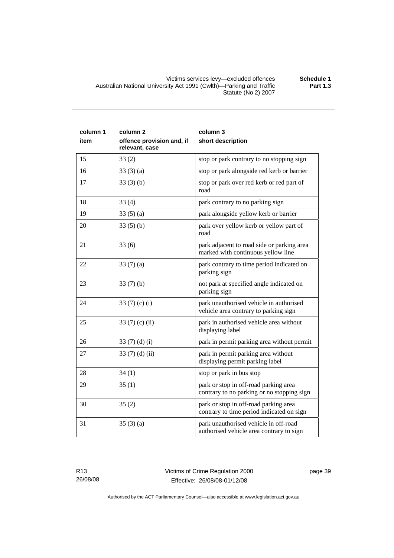Victims services levy—excluded offences **Schedule 1**  Australian National University Act 1991 (Cwlth)—Parking and Traffic Statute (No 2) 2007

| column 1 | column <sub>2</sub>                         | column 3                                                                            |
|----------|---------------------------------------------|-------------------------------------------------------------------------------------|
| item     | offence provision and, if<br>relevant, case | short description                                                                   |
| 15       | 33(2)                                       | stop or park contrary to no stopping sign                                           |
| 16       | 33(3)(a)                                    | stop or park alongside red kerb or barrier                                          |
| 17       | 33(3)(b)                                    | stop or park over red kerb or red part of<br>road                                   |
| 18       | 33(4)                                       | park contrary to no parking sign                                                    |
| 19       | 33(5)(a)                                    | park alongside yellow kerb or barrier                                               |
| 20       | 33(5)(b)                                    | park over yellow kerb or yellow part of<br>road                                     |
| 21       | 33(6)                                       | park adjacent to road side or parking area<br>marked with continuous yellow line    |
| 22       | 33 $(7)(a)$                                 | park contrary to time period indicated on<br>parking sign                           |
| 23       | 33(7)(b)                                    | not park at specified angle indicated on<br>parking sign                            |
| 24       | 33 $(7)(c)(i)$                              | park unauthorised vehicle in authorised<br>vehicle area contrary to parking sign    |
| 25       | 33 $(7)$ (c) (ii)                           | park in authorised vehicle area without<br>displaying label                         |
| 26       | 33 $(7)(d)(i)$                              | park in permit parking area without permit                                          |
| 27       | 33 $(7)$ $(d)$ $(ii)$                       | park in permit parking area without<br>displaying permit parking label              |
| 28       | 34(1)                                       | stop or park in bus stop                                                            |
| 29       | 35(1)                                       | park or stop in off-road parking area<br>contrary to no parking or no stopping sign |
| 30       | 35(2)                                       | park or stop in off-road parking area<br>contrary to time period indicated on sign  |
| 31       | 35(3)(a)                                    | park unauthorised vehicle in off-road<br>authorised vehicle area contrary to sign   |

**Part 1.3**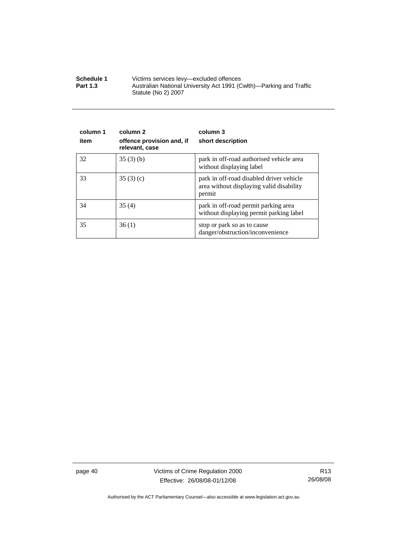| Schedule 1      | Victims services levy—excluded offences                                                    |  |
|-----------------|--------------------------------------------------------------------------------------------|--|
| <b>Part 1.3</b> | Australian National University Act 1991 (Cwlth)—Parking and Traffic<br>Statute (No 2) 2007 |  |

| column 1<br>item | column 2<br>offence provision and, if<br>relevant, case | column 3<br>short description                                                                  |
|------------------|---------------------------------------------------------|------------------------------------------------------------------------------------------------|
| 32               | 35(3)(b)                                                | park in off-road authorised vehicle area<br>without displaying label                           |
| 33               | 35(3)(c)                                                | park in off-road disabled driver vehicle<br>area without displaying valid disability<br>permit |
| 34               | 35(4)                                                   | park in off-road permit parking area<br>without displaying permit parking label                |
| 35               | 36(1)                                                   | stop or park so as to cause<br>danger/obstruction/inconvenience                                |

page 40 Victims of Crime Regulation 2000 Effective: 26/08/08-01/12/08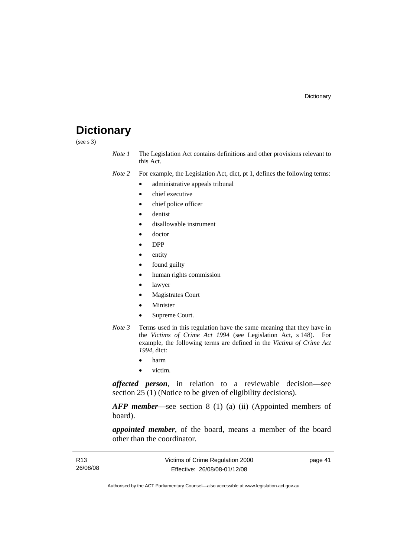# <span id="page-46-0"></span>**Dictionary**

(see s 3)

*Note 1* The Legislation Act contains definitions and other provisions relevant to this Act.

*Note 2* For example, the Legislation Act, dict, pt 1, defines the following terms:

- administrative appeals tribunal
- chief executive
- chief police officer
- dentist
- disallowable instrument
- doctor
- DPP
- entity
- found guilty
- human rights commission
- lawyer
- **Magistrates Court**
- **Minister**
- Supreme Court.
- *Note 3* Terms used in this regulation have the same meaning that they have in the *Victims of Crime Act 1994* (see Legislation Act, s 148). For example, the following terms are defined in the *Victims of Crime Act 1994*, dict:
	- harm
	- victim.

*affected person*, in relation to a reviewable decision—see section 25 (1) (Notice to be given of eligibility decisions).

*AFP member*—see section 8 (1) (a) (ii) (Appointed members of board).

*appointed member*, of the board, means a member of the board other than the coordinator.

| R <sub>13</sub> | Victims of Crime Regulation 2000 | page 41 |
|-----------------|----------------------------------|---------|
| 26/08/08        | Effective: 26/08/08-01/12/08     |         |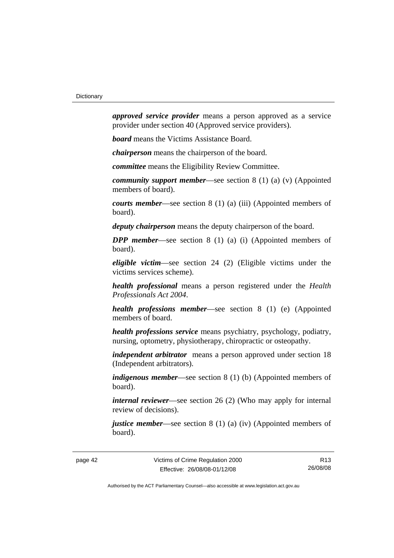*approved service provider* means a person approved as a service provider under section 40 (Approved service providers).

*board* means the Victims Assistance Board.

*chairperson* means the chairperson of the board.

*committee* means the Eligibility Review Committee.

*community support member*—see section 8 (1) (a) (v) (Appointed members of board).

*courts member*—see section 8 (1) (a) (iii) (Appointed members of board).

*deputy chairperson* means the deputy chairperson of the board.

*DPP member*—see section 8 (1) (a) (i) (Appointed members of board).

*eligible victim*—see section 24 (2) (Eligible victims under the victims services scheme).

*health professional* means a person registered under the *Health Professionals Act 2004*.

*health professions member*—see section 8 (1) (e) (Appointed members of board.

*health professions service* means psychiatry, psychology, podiatry, nursing, optometry, physiotherapy, chiropractic or osteopathy.

*independent arbitrator* means a person approved under section 18 (Independent arbitrators).

*indigenous member*—see section 8 (1) (b) (Appointed members of board).

*internal reviewer*—see section 26 (2) (Who may apply for internal review of decisions).

*justice member*—see section 8 (1) (a) (iv) (Appointed members of board).

R13 26/08/08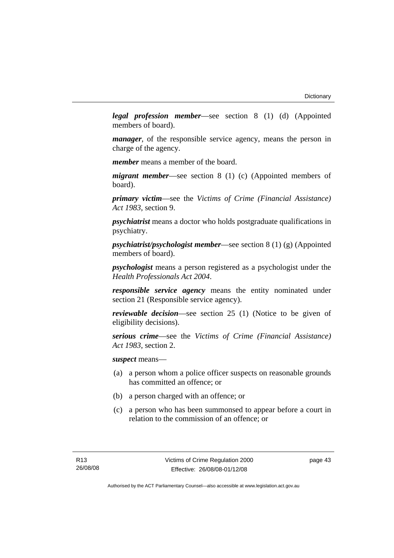*legal profession member*—see section 8 (1) (d) (Appointed members of board).

*manager*, of the responsible service agency, means the person in charge of the agency.

*member* means a member of the board.

*migrant member*—see section 8 (1) (c) (Appointed members of board).

*primary victim*—see the *Victims of Crime (Financial Assistance) Act 1983*, section 9.

*psychiatrist* means a doctor who holds postgraduate qualifications in psychiatry.

*psychiatrist/psychologist member*—see section 8 (1) (g) (Appointed members of board).

*psychologist* means a person registered as a psychologist under the *Health Professionals Act 2004*.

*responsible service agency* means the entity nominated under section 21 (Responsible service agency).

*reviewable decision*—see section 25 (1) (Notice to be given of eligibility decisions).

*serious crime*—see the *Victims of Crime (Financial Assistance) Act 1983*, section 2.

*suspect* means—

- (a) a person whom a police officer suspects on reasonable grounds has committed an offence; or
- (b) a person charged with an offence; or
- (c) a person who has been summonsed to appear before a court in relation to the commission of an offence; or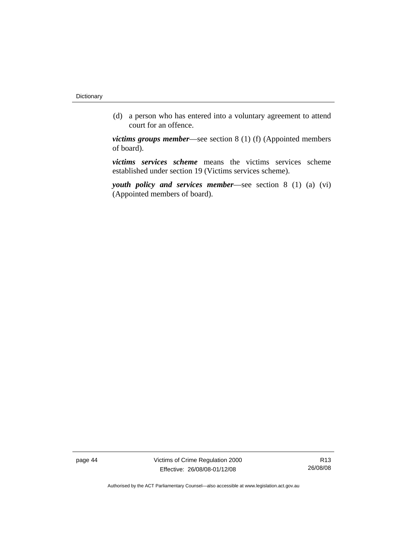(d) a person who has entered into a voluntary agreement to attend court for an offence.

*victims groups member*—see section 8 (1) (f) (Appointed members of board).

*victims services scheme* means the victims services scheme established under section 19 (Victims services scheme).

*youth policy and services member*—see section 8 (1) (a) (vi) (Appointed members of board).

page 44 Victims of Crime Regulation 2000 Effective: 26/08/08-01/12/08

R13 26/08/08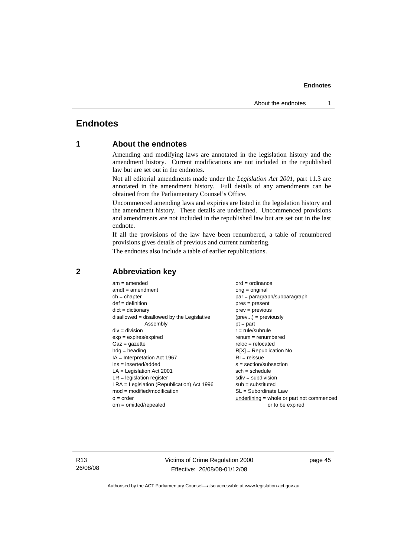# <span id="page-50-0"></span>**Endnotes**

### **1 About the endnotes**

Amending and modifying laws are annotated in the legislation history and the amendment history. Current modifications are not included in the republished law but are set out in the endnotes.

Not all editorial amendments made under the *Legislation Act 2001*, part 11.3 are annotated in the amendment history. Full details of any amendments can be obtained from the Parliamentary Counsel's Office.

Uncommenced amending laws and expiries are listed in the legislation history and the amendment history. These details are underlined. Uncommenced provisions and amendments are not included in the republished law but are set out in the last endnote.

If all the provisions of the law have been renumbered, a table of renumbered provisions gives details of previous and current numbering.

The endnotes also include a table of earlier republications.

| $am = amended$                               | $ord = ordinance$                         |
|----------------------------------------------|-------------------------------------------|
| $amdt = amendment$                           | $orig = original$                         |
| $ch = chapter$                               | $par = paragraph/subparagraph$            |
| $def = definition$                           | $pres = present$                          |
| $dict = dictionary$                          | $prev = previous$                         |
| $disallowed = disallowed by the Legislative$ | $(\text{prev}) = \text{previously}$       |
| Assembly                                     | $pt = part$                               |
| $div = division$                             | $r = rule/subrule$                        |
| $exp = expires/expired$                      | $renum = renumbered$                      |
| $Gaz = gazette$                              | $reloc = relocated$                       |
| $hdg =$ heading                              | $R[X]$ = Republication No                 |
| $IA = Interpretation Act 1967$               | $RI = reissue$                            |
| $ins = inserted/added$                       | $s = section/subsection$                  |
| $LA =$ Legislation Act 2001                  | $sch = schedule$                          |
| $LR =$ legislation register                  | $sdiv = subdivision$                      |
| $LRA =$ Legislation (Republication) Act 1996 | $sub =$ substituted                       |
| $mod = modified/modification$                | SL = Subordinate Law                      |
| $o = order$                                  | underlining = whole or part not commenced |
| $om = omitted/repealed$                      | or to be expired                          |
|                                              |                                           |

#### **2 Abbreviation key**

R13 26/08/08 Victims of Crime Regulation 2000 Effective: 26/08/08-01/12/08

page 45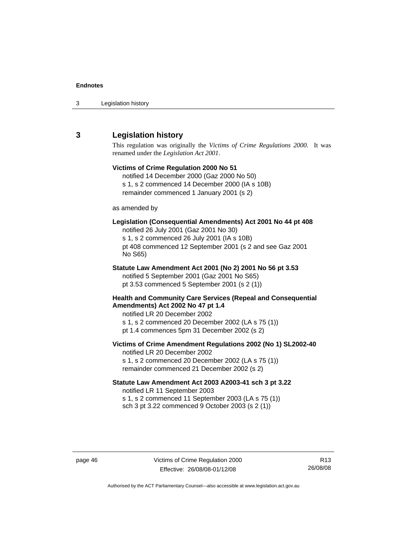<span id="page-51-0"></span>

| 3 | Legislation history |  |
|---|---------------------|--|
|---|---------------------|--|

#### **3 Legislation history**

This regulation was originally the *Victims of Crime Regulations 2000*. It was renamed under the *Legislation Act 2001*.

# **Victims of Crime Regulation 2000 No 51**  notified 14 December 2000 (Gaz 2000 No 50) s 1, s 2 commenced 14 December 2000 (IA s 10B) remainder commenced 1 January 2001 (s 2) as amended by **Legislation (Consequential Amendments) Act 2001 No 44 pt 408**  notified 26 July 2001 (Gaz 2001 No 30) s 1, s 2 commenced 26 July 2001 (IA s 10B) pt 408 commenced 12 September 2001 (s 2 and see Gaz 2001 No S65) **Statute Law Amendment Act 2001 (No 2) 2001 No 56 pt 3.53**  notified 5 September 2001 (Gaz 2001 No S65) pt 3.53 commenced 5 September 2001 (s 2 (1)) **Health and Community Care Services (Repeal and Consequential Amendments) Act 2002 No 47 pt 1.4**  notified LR 20 December 2002 s 1, s 2 commenced 20 December 2002 (LA s 75 (1)) pt 1.4 commences 5pm 31 December 2002 (s 2) **Victims of Crime Amendment Regulations 2002 (No 1) SL2002-40**  notified LR 20 December 2002 s 1, s 2 commenced 20 December 2002 (LA s 75 (1)) remainder commenced 21 December 2002 (s 2) **Statute Law Amendment Act 2003 A2003-41 sch 3 pt 3.22**

notified LR 11 September 2003 s 1, s 2 commenced 11 September 2003 (LA s 75 (1)) sch 3 pt 3.22 commenced 9 October 2003 (s 2 (1))

page 46 Victims of Crime Regulation 2000 Effective: 26/08/08-01/12/08

R13 26/08/08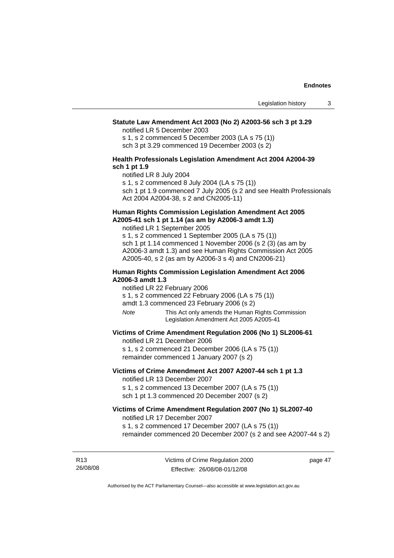#### **Statute Law Amendment Act 2003 (No 2) A2003-56 sch 3 pt 3.29**

notified LR 5 December 2003

s 1, s 2 commenced 5 December 2003 (LA s 75 (1)) sch 3 pt 3.29 commenced 19 December 2003 (s 2)

#### **Health Professionals Legislation Amendment Act 2004 A2004-39 sch 1 pt 1.9**

notified LR 8 July 2004

s 1, s 2 commenced 8 July 2004 (LA s 75 (1))

sch 1 pt 1.9 commenced 7 July 2005 (s 2 and see Health Professionals Act 2004 A2004-38, s 2 and CN2005-11)

#### **Human Rights Commission Legislation Amendment Act 2005 A2005-41 sch 1 pt 1.14 (as am by A2006-3 amdt 1.3)**

notified LR 1 September 2005 s 1, s 2 commenced 1 September 2005 (LA s 75 (1)) sch 1 pt 1.14 commenced 1 November 2006 (s 2 (3) (as am by A2006-3 amdt 1.3) and see Human Rights Commission Act 2005

A2005-40, s 2 (as am by A2006-3 s 4) and CN2006-21)

#### **Human Rights Commission Legislation Amendment Act 2006 A2006-3 amdt 1.3**

notified LR 22 February 2006

s 1, s 2 commenced 22 February 2006 (LA s 75 (1))

amdt 1.3 commenced 23 February 2006 (s 2)

*Note* This Act only amends the Human Rights Commission Legislation Amendment Act 2005 A2005-41

#### **Victims of Crime Amendment Regulation 2006 (No 1) SL2006-61**

notified LR 21 December 2006

s 1, s 2 commenced 21 December 2006 (LA s 75 (1)) remainder commenced 1 January 2007 (s 2)

#### **Victims of Crime Amendment Act 2007 A2007-44 sch 1 pt 1.3**  notified LR 13 December 2007

s 1, s 2 commenced 13 December 2007 (LA s 75 (1)) sch 1 pt 1.3 commenced 20 December 2007 (s 2)

#### **Victims of Crime Amendment Regulation 2007 (No 1) SL2007-40**  notified LR 17 December 2007

s 1, s 2 commenced 17 December 2007 (LA s 75 (1)) remainder commenced 20 December 2007 (s 2 and see A2007-44 s 2)

R13 26/08/08 page 47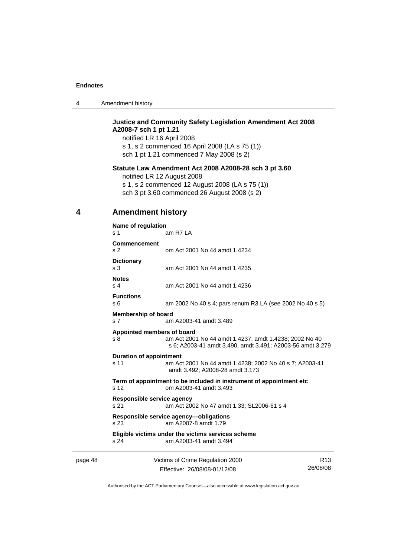<span id="page-53-0"></span>

|  | Amendment history |
|--|-------------------|
|--|-------------------|

#### **Justice and Community Safety Legislation Amendment Act 2008 A2008-7 sch 1 pt 1.21**

notified LR 16 April 2008 s 1, s 2 commenced 16 April 2008 (LA s 75 (1)) sch 1 pt 1.21 commenced 7 May 2008 (s 2)

#### **Statute Law Amendment Act 2008 A2008-28 sch 3 pt 3.60**

notified LR 12 August 2008 s 1, s 2 commenced 12 August 2008 (LA s 75 (1))

sch 3 pt 3.60 commenced 26 August 2008 (s 2)

#### **4 Amendment history**

|         | Name of regulation<br>s 1                    | am R7 LA                                                                                                            |                 |
|---------|----------------------------------------------|---------------------------------------------------------------------------------------------------------------------|-----------------|
|         | <b>Commencement</b><br>s <sub>2</sub>        | om Act 2001 No 44 amdt 1.4234                                                                                       |                 |
|         | <b>Dictionary</b><br>s <sub>3</sub>          | am Act 2001 No 44 amdt 1.4235                                                                                       |                 |
|         | <b>Notes</b><br>s <sub>4</sub>               | am Act 2001 No 44 amdt 1.4236                                                                                       |                 |
|         | <b>Functions</b><br>s 6                      | am 2002 No 40 s 4; pars renum R3 LA (see 2002 No 40 s 5)                                                            |                 |
|         | <b>Membership of board</b><br>s <sub>7</sub> | am A2003-41 amdt 3.489                                                                                              |                 |
|         | Appointed members of board<br>s 8            | am Act 2001 No 44 amdt 1.4237, amdt 1.4238; 2002 No 40<br>s 6; A2003-41 amdt 3.490, amdt 3.491; A2003-56 amdt 3.279 |                 |
|         | <b>Duration of appointment</b><br>s 11       | am Act 2001 No 44 amdt 1.4238; 2002 No 40 s 7; A2003-41<br>amdt 3.492; A2008-28 amdt 3.173                          |                 |
|         | s 12                                         | Term of appointment to be included in instrument of appointment etc<br>om A2003-41 amdt 3.493                       |                 |
|         | Responsible service agency<br>s 21           | am Act 2002 No 47 amdt 1.33; SL2006-61 s 4                                                                          |                 |
|         | s <sub>23</sub>                              | Responsible service agency-obligations<br>am A2007-8 amdt 1.79                                                      |                 |
|         | s 24                                         | Eligible victims under the victims services scheme<br>am A2003-41 amdt 3.494                                        |                 |
| page 48 |                                              | Victims of Crime Regulation 2000                                                                                    | R <sub>13</sub> |

Effective: 26/08/08-01/12/08

R13 26/08/08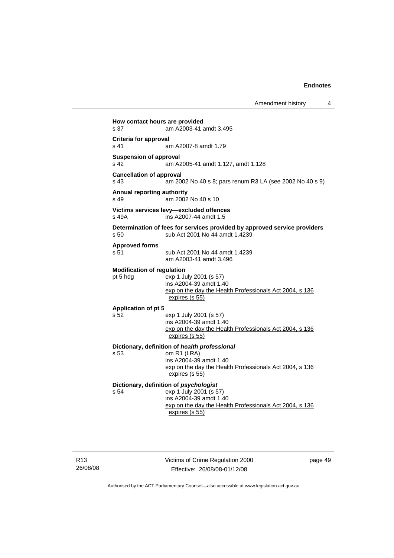| Amendment history |  |
|-------------------|--|
|-------------------|--|

**How contact hours are provided**  s 37 am A2003-41 amdt 3.495 **Criteria for approval**  s 41 am A2007-8 amdt 1.79 **Suspension of approval**  s 42 am A2005-41 amdt 1.127, amdt 1.128 **Cancellation of approval**  s 43 am 2002 No 40 s 8; pars renum R3 LA (see 2002 No 40 s 9) **Annual reporting authority**  s 49 am 2002 No 40 s 10 **Victims services levy—excluded offences**  s 49A ins A2007-44 amdt 1.5 **Determination of fees for services provided by approved service providers**  s 50 sub Act 2001 No 44 amdt 1.4239 **Approved forms**  s 51 sub Act 2001 No 44 amdt 1.4239 am A2003-41 amdt 3.496 **Modification of regulation**  pt 5 hdg exp 1 July 2001 (s 57) ins A2004-39 amdt 1.40 exp on the day the Health Professionals Act 2004, s 136 expires (s 55) **Application of pt 5**  s 52 exp 1 July 2001 (s 57) ins A2004-39 amdt 1.40 exp on the day the Health Professionals Act 2004, s 136 expires (s 55) **Dictionary, definition of** *health professional* s 53 om R1 (LRA) ins A2004-39 amdt 1.40 exp on the day the Health Professionals Act 2004, s 136 expires (s 55) **Dictionary, definition of** *psychologist* s 54 exp 1 July 2001 (s 57) ins A2004-39 amdt 1.40 exp on the day the Health Professionals Act 2004, s 136 expires (s 55)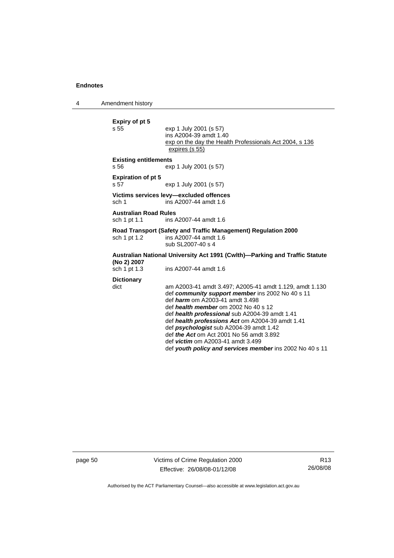4 Amendment history

| Expiry of pt 5<br>s 55                       | exp 1 July 2001 (s 57)<br>ins A2004-39 amdt 1.40<br>exp on the day the Health Professionals Act 2004, s 136<br>expires (s 55)                                                                                                                                                                                                                                                                                                                                                                                    |
|----------------------------------------------|------------------------------------------------------------------------------------------------------------------------------------------------------------------------------------------------------------------------------------------------------------------------------------------------------------------------------------------------------------------------------------------------------------------------------------------------------------------------------------------------------------------|
| <b>Existing entitlements</b><br>s 56         | exp 1 July 2001 (s 57)                                                                                                                                                                                                                                                                                                                                                                                                                                                                                           |
| <b>Expiration of pt 5</b><br>s 57            | exp 1 July 2001 (s 57)                                                                                                                                                                                                                                                                                                                                                                                                                                                                                           |
| sch 1                                        | Victims services levy-excluded offences<br>ins A2007-44 amdt 1.6                                                                                                                                                                                                                                                                                                                                                                                                                                                 |
| <b>Australian Road Rules</b><br>sch 1 pt 1.1 | ins A2007-44 amdt 1.6                                                                                                                                                                                                                                                                                                                                                                                                                                                                                            |
| sch 1 pt 1.2                                 | Road Transport (Safety and Traffic Management) Regulation 2000<br>ins A2007-44 amdt 1.6<br>sub SL2007-40 s 4                                                                                                                                                                                                                                                                                                                                                                                                     |
| (No 2) 2007<br>sch 1 pt 1.3                  | Australian National University Act 1991 (Cwlth)—Parking and Traffic Statute<br>ins A2007-44 amdt 1.6                                                                                                                                                                                                                                                                                                                                                                                                             |
| <b>Dictionary</b><br>dict                    | am A2003-41 amdt 3.497; A2005-41 amdt 1.129, amdt 1.130<br>def community support member ins 2002 No 40 s 11<br>def <i>harm</i> om A2003-41 amdt 3.498<br>def health member om 2002 No 40 s 12<br>def health professional sub A2004-39 amdt 1.41<br>def health professions Act om A2004-39 amdt 1.41<br>def <i>psychologist</i> sub A2004-39 amdt 1.42<br>def <i>the Act</i> om Act 2001 No 56 amdt 3.892<br>def <i>victim</i> om A2003-41 amdt 3.499<br>def youth policy and services member ins 2002 No 40 s 11 |

page 50 Victims of Crime Regulation 2000 Effective: 26/08/08-01/12/08

R13 26/08/08